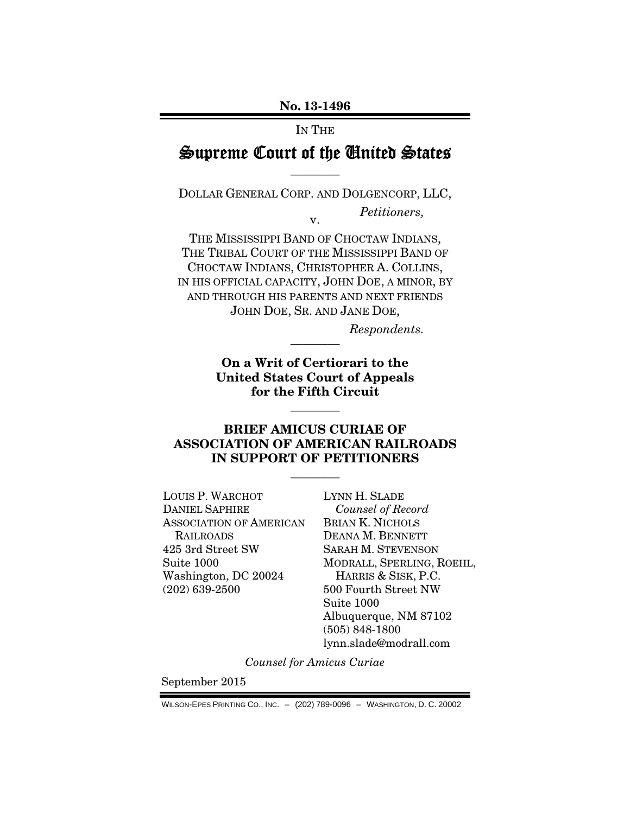No. 13-1496

IN THE

# Supreme Court of the United States

————

DOLLAR GENERAL CORP. AND DOLGENCORP, LLC,

v.

*Petitioners,* 

THE MISSISSIPPI BAND OF CHOCTAW INDIANS, THE TRIBAL COURT OF THE MISSISSIPPI BAND OF CHOCTAW INDIANS, CHRISTOPHER A. COLLINS, IN HIS OFFICIAL CAPACITY, JOHN DOE, A MINOR, BY AND THROUGH HIS PARENTS AND NEXT FRIENDS JOHN DOE, SR. AND JANE DOE,

*Respondents.* 

On a Writ of Certiorari to the United States Court of Appeals for the Fifth Circuit

————

————

### BRIEF AMICUS CURIAE OF ASSOCIATION OF AMERICAN RAILROADS IN SUPPORT OF PETITIONERS

————

LOUIS P. WARCHOT DANIEL SAPHIRE ASSOCIATION OF AMERICAN RAILROADS 425 3rd Street SW Suite 1000 Washington, DC 20024 (202) 639-2500

LYNN H. SLADE *Counsel of Record*  BRIAN K. NICHOLS DEANA M. BENNETT SARAH M. STEVENSON MODRALL, SPERLING, ROEHL, HARRIS & SISK, P.C. 500 Fourth Street NW Suite 1000 Albuquerque, NM 87102 (505) 848-1800 lynn.slade@modrall.com

*Counsel for Amicus Curiae* 

September 2015

WILSON-EPES PRINTING CO., INC. – (202) 789-0096 – WASHINGTON, D. C. 20002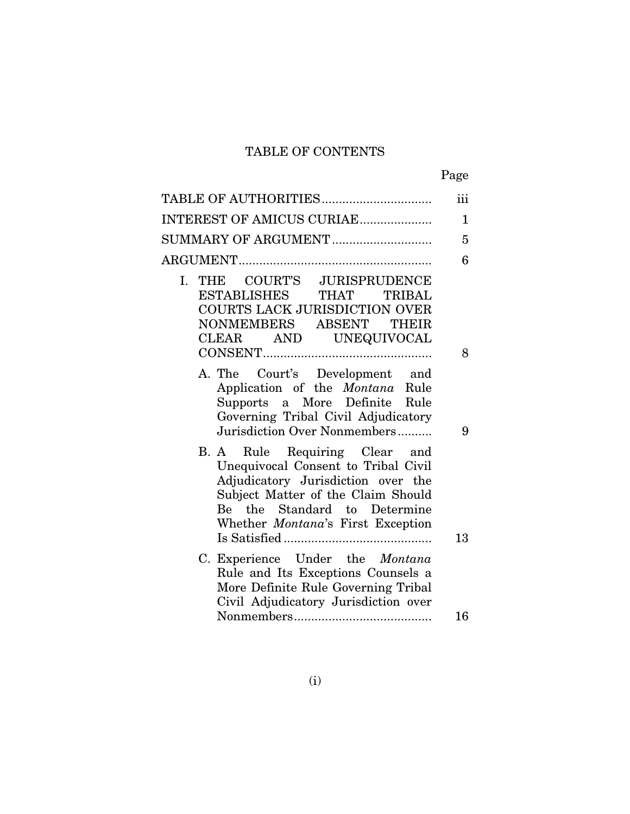# TABLE OF CONTENTS

| ۰, |
|----|
|----|

| TABLE OF AUTHORITIES                                                                                                                                                                                                  | iii          |
|-----------------------------------------------------------------------------------------------------------------------------------------------------------------------------------------------------------------------|--------------|
| INTEREST OF AMICUS CURIAE                                                                                                                                                                                             | $\mathbf{1}$ |
| SUMMARY OF ARGUMENT                                                                                                                                                                                                   | 5            |
|                                                                                                                                                                                                                       | 6            |
| THE COURT'S JURISPRUDENCE<br>$\mathbf{L}$<br>ESTABLISHES THAT<br>TRIBAL<br>COURTS LACK JURISDICTION OVER<br>NONMEMBERS ABSENT THEIR<br>CLEAR AND UNEQUIVOCAL                                                          |              |
| A. The Court's Development and<br>Application of the <i>Montana</i> Rule<br>Supports a More Definite Rule<br>Governing Tribal Civil Adjudicatory<br>Jurisdiction Over Nonmembers                                      | 8<br>9       |
| B. A Rule Requiring Clear and<br>Unequivocal Consent to Tribal Civil<br>Adjudicatory Jurisdiction over the<br>Subject Matter of the Claim Should<br>Be the Standard to Determine<br>Whether Montana's First Exception | 13           |
| C. Experience Under the Montana<br>Rule and Its Exceptions Counsels a<br>More Definite Rule Governing Tribal<br>Civil Adjudicatory Jurisdiction over                                                                  |              |
|                                                                                                                                                                                                                       | 16           |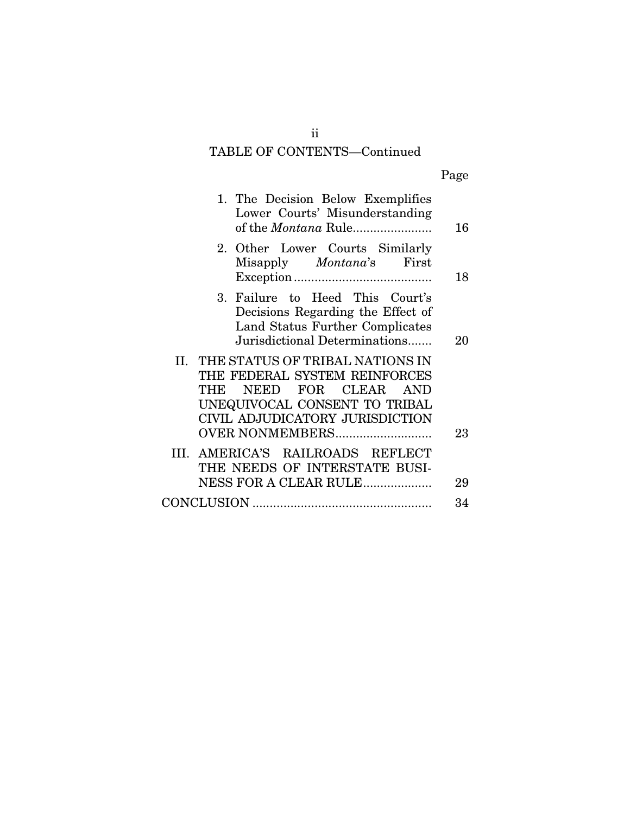# TABLE OF CONTENTS—Continued

| ۰, |
|----|
|----|

| 1. The Decision Below Exemplifies<br>Lower Courts' Misunderstanding<br>of the Montana Rule                                                                                      | 16       |
|---------------------------------------------------------------------------------------------------------------------------------------------------------------------------------|----------|
| 2. Other Lower Courts Similarly<br>Misapply <i>Montana</i> 's First                                                                                                             | 18       |
| 3. Failure to Heed This Court's<br>Decisions Regarding the Effect of<br>Land Status Further Complicates<br>Jurisdictional Determinations                                        | 20       |
| II. THE STATUS OF TRIBAL NATIONS IN<br>THE FEDERAL SYSTEM REINFORCES<br>NEED FOR CLEAR<br>THE<br><b>AND</b><br>UNEQUIVOCAL CONSENT TO TRIBAL<br>CIVIL ADJUDICATORY JURISDICTION |          |
| <b>OVER NONMEMBERS</b><br>III. AMERICA'S RAILROADS REFLECT<br>THE NEEDS OF INTERSTATE BUSI-<br>NESS FOR A CLEAR RULE                                                            | 23<br>29 |
|                                                                                                                                                                                 | 34       |

ii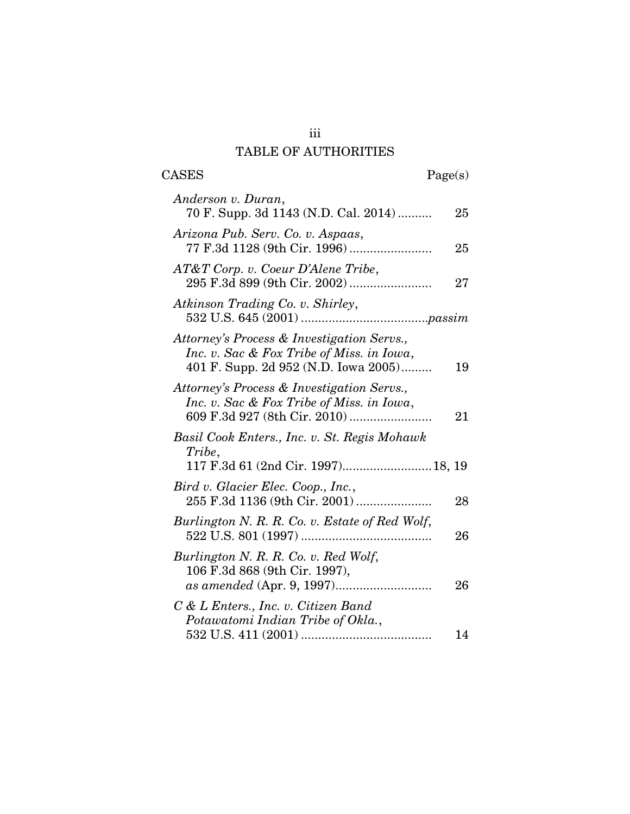# TABLE OF AUTHORITIES

| <b>CASES</b>                                                                                                                    | Page(s) |
|---------------------------------------------------------------------------------------------------------------------------------|---------|
| Anderson v. Duran,<br>70 F. Supp. 3d 1143 (N.D. Cal. 2014)                                                                      | 25      |
| Arizona Pub. Serv. Co. v. Aspaas,                                                                                               | 25      |
| $AT&T$ Corp. v. Coeur D'Alene Tribe,                                                                                            | 27      |
| Atkinson Trading Co. v. Shirley,                                                                                                |         |
| Attorney's Process & Investigation Servs.,<br>Inc. v. Sac & Fox Tribe of Miss. in Iowa,<br>401 F. Supp. 2d 952 (N.D. Iowa 2005) | 19      |
| Attorney's Process & Investigation Servs.,<br>Inc. v. Sac & Fox Tribe of Miss. in Iowa,                                         | 21      |
| Basil Cook Enters., Inc. v. St. Regis Mohawk<br>Tribe,<br>117 F.3d 61 (2nd Cir. 1997) 18, 19                                    |         |
| Bird v. Glacier Elec. Coop., Inc.,<br>255 F.3d 1136 (9th Cir. 2001)                                                             | 28      |
| Burlington N. R. R. Co. v. Estate of Red Wolf,                                                                                  | 26      |
| Burlington N. R. R. Co. v. Red Wolf,<br>106 F.3d 868 (9th Cir. 1997),                                                           | 26      |
| C & L Enters., Inc. v. Citizen Band<br>Potawatomi Indian Tribe of Okla.,                                                        | 14      |

iii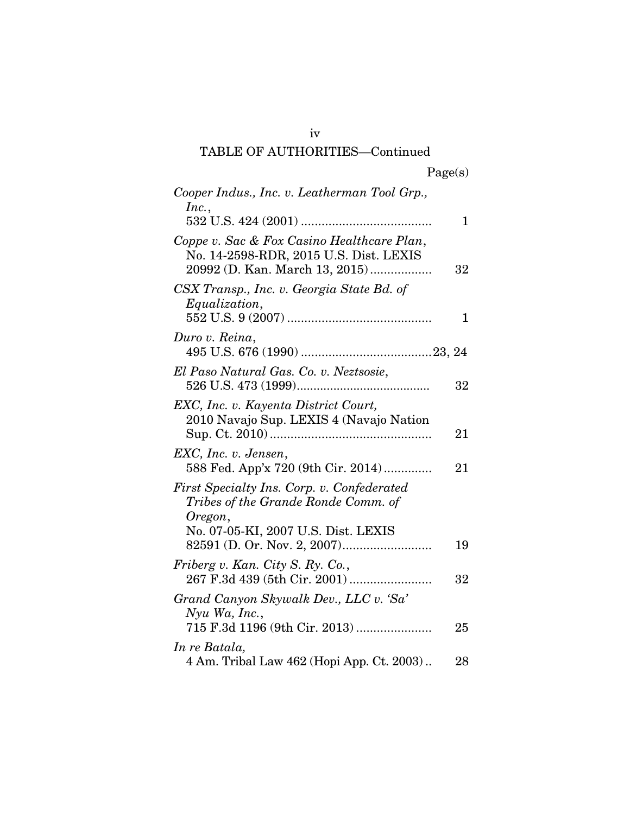# iv TABLE OF AUTHORITIES—Continued

| Cooper Indus., Inc. v. Leatherman Tool Grp.,                                                                                        |    |
|-------------------------------------------------------------------------------------------------------------------------------------|----|
| Inc.,                                                                                                                               | 1  |
| Coppe v. Sac & Fox Casino Healthcare Plan,<br>No. 14-2598-RDR, 2015 U.S. Dist. LEXIS<br>20992 (D. Kan. March 13, 2015)              | 32 |
| CSX Transp., Inc. v. Georgia State Bd. of<br>Equalization,                                                                          | 1  |
| Duro v. Reina,                                                                                                                      |    |
| El Paso Natural Gas. Co. v. Neztsosie,                                                                                              | 32 |
| EXC, Inc. v. Kayenta District Court,<br>2010 Navajo Sup. LEXIS 4 (Navajo Nation                                                     | 21 |
| EXC, Inc. v. Jensen,<br>588 Fed. App'x 720 (9th Cir. 2014)                                                                          | 21 |
| First Specialty Ins. Corp. v. Confederated<br>Tribes of the Grande Ronde Comm. of<br>Oregon,<br>No. 07-05-KI, 2007 U.S. Dist. LEXIS |    |
|                                                                                                                                     | 19 |
| Friberg v. Kan. City S. Ry. Co.,<br>267 F.3d 439 (5th Cir. 2001)                                                                    | 32 |
| Grand Canyon Skywalk Dev., LLC v. 'Sa'<br>$N$ yu Wa, Inc.,<br>715 F.3d 1196 (9th Cir. 2013)                                         | 25 |
| In re Batala,                                                                                                                       |    |
| 4 Am. Tribal Law 462 (Hopi App. Ct. 2003)                                                                                           | 28 |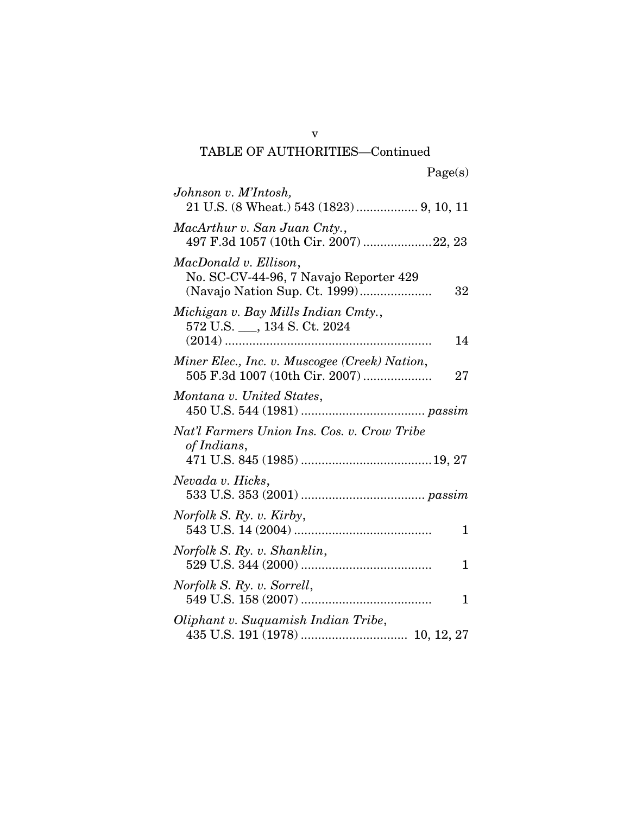# TABLE OF AUTHORITIES—Continued

| Johnson v. M'Intosh,<br>21 U.S. (8 Wheat.) 543 (1823)  9, 10, 11                      |
|---------------------------------------------------------------------------------------|
| MacArthur v. San Juan Cnty.,<br>497 F.3d 1057 (10th Cir. 2007) 22, 23                 |
| MacDonald v. Ellison,<br>No. SC-CV-44-96, 7 Navajo Reporter 429<br>32                 |
| Michigan v. Bay Mills Indian Cmty.,<br>572 U.S. ___, 134 S. Ct. 2024<br>14            |
| Miner Elec., Inc. v. Muscogee (Creek) Nation,<br>505 F.3d 1007 (10th Cir. 2007)<br>27 |
| Montana v. United States,                                                             |
| Nat'l Farmers Union Ins. Cos. v. Crow Tribe<br>of Indians,                            |
| Nevada v. Hicks,                                                                      |
| Norfolk S. Ry. v. Kirby,<br>1                                                         |
| Norfolk S. Ry. v. Shanklin,<br>1                                                      |
| Norfolk S. Ry. v. Sorrell,<br>1                                                       |
| Oliphant v. Suquamish Indian Tribe,                                                   |

v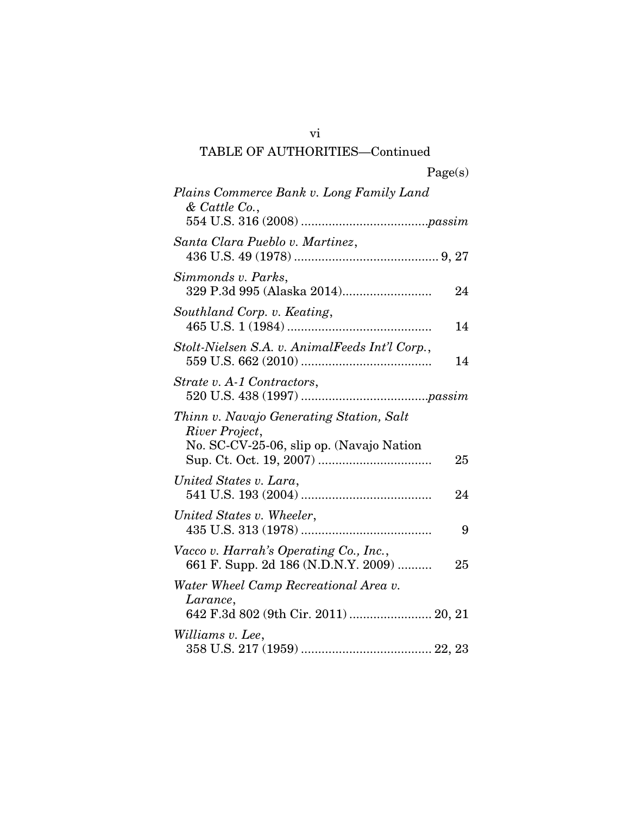# vi TABLE OF AUTHORITIES—Continued

| Plains Commerce Bank v. Long Family Land<br>$&$ Cattle Co.,                                                  |
|--------------------------------------------------------------------------------------------------------------|
| Santa Clara Pueblo v. Martinez,                                                                              |
| Simmonds v. Parks,<br>24                                                                                     |
| Southland Corp. v. Keating,<br>14                                                                            |
| Stolt-Nielsen S.A. v. AnimalFeeds Int'l Corp.,<br>14                                                         |
| Strate v. A-1 Contractors,                                                                                   |
| Thinn v. Navajo Generating Station, Salt<br>River Project,<br>No. SC-CV-25-06, slip op. (Navajo Nation<br>25 |
| United States v. Lara,<br>24                                                                                 |
| United States v. Wheeler,<br>9                                                                               |
| Vacco v. Harrah's Operating Co., Inc.,<br>661 F. Supp. 2d 186 (N.D.N.Y. 2009)<br>25                          |
| Water Wheel Camp Recreational Area v.<br>Larance,<br>642 F.3d 802 (9th Cir. 2011)  20, 21                    |
| Williams v. Lee,                                                                                             |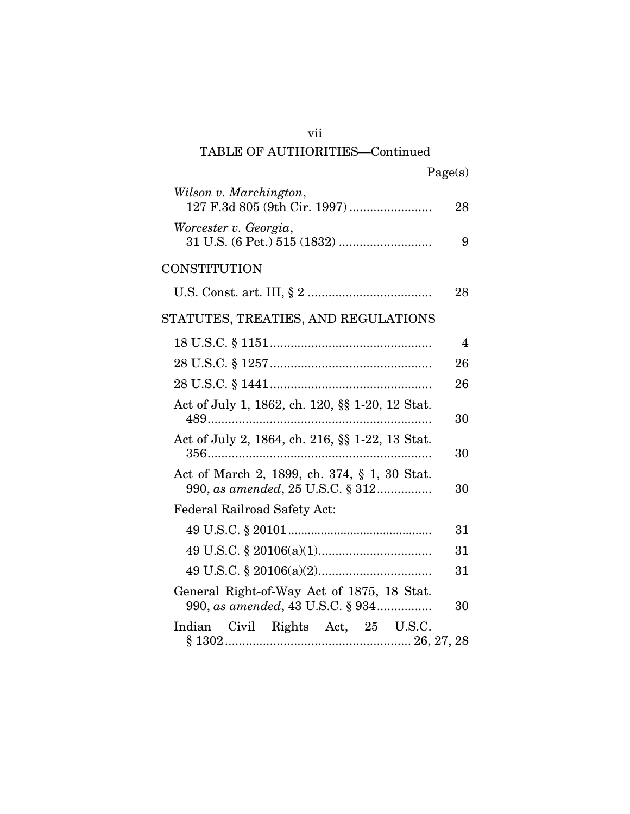| vii                                                                              |         |
|----------------------------------------------------------------------------------|---------|
| <b>TABLE OF AUTHORITIES-Continued</b>                                            |         |
|                                                                                  | Page(s) |
| Wilson v. Marchington,                                                           | 28      |
| Worcester v. Georgia,                                                            | 9       |
| CONSTITUTION                                                                     |         |
|                                                                                  | 28      |
| STATUTES, TREATIES, AND REGULATIONS                                              |         |
|                                                                                  | 4       |
|                                                                                  | 26      |
|                                                                                  | 26      |
| Act of July 1, 1862, ch. 120, §§ 1-20, 12 Stat.                                  | 30      |
| Act of July 2, 1864, ch. 216, §§ 1-22, 13 Stat.                                  | 30      |
| Act of March 2, 1899, ch. 374, § 1, 30 Stat.<br>990, as amended, 25 U.S.C. § 312 | 30      |
| <b>Federal Railroad Safety Act:</b>                                              |         |
|                                                                                  | 31      |
|                                                                                  | 31      |
|                                                                                  | 31      |
| General Right-of-Way Act of 1875, 18 Stat.<br>990, as amended, 43 U.S.C. § 934   | 30      |
| Indian Civil Rights Act, 25 U.S.C.                                               |         |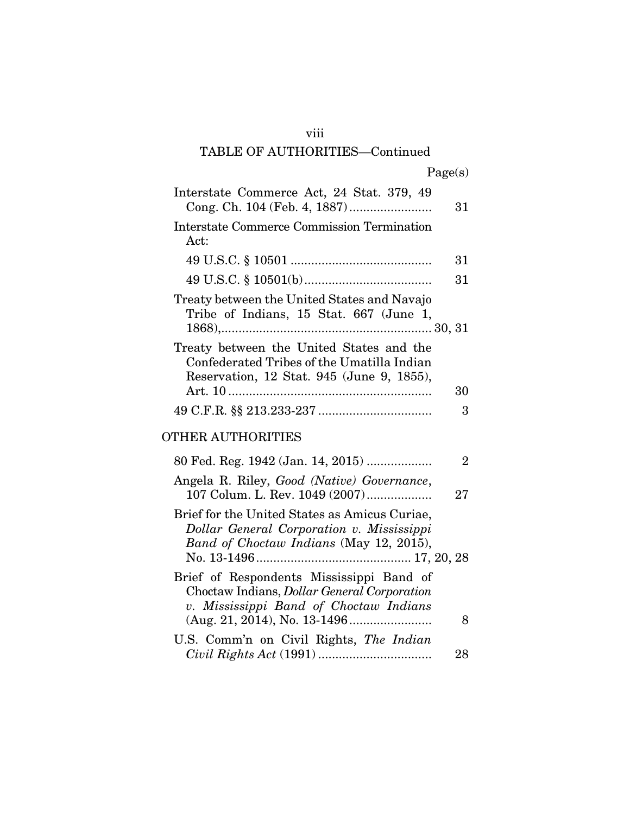# viii

# TABLE OF AUTHORITIES—Continued

|  | Page(s) |
|--|---------|
|  |         |

| Interstate Commerce Act, 24 Stat. 379, 49                                                                                                                                         | 31             |
|-----------------------------------------------------------------------------------------------------------------------------------------------------------------------------------|----------------|
| <b>Interstate Commerce Commission Termination</b><br>Act:                                                                                                                         |                |
|                                                                                                                                                                                   | 31             |
|                                                                                                                                                                                   | 31             |
| Treaty between the United States and Navajo<br>Tribe of Indians, 15 Stat. 667 (June 1,                                                                                            |                |
| Treaty between the United States and the<br>Confederated Tribes of the Umatilla Indian<br>Reservation, 12 Stat. 945 (June 9, 1855),                                               |                |
|                                                                                                                                                                                   | 30             |
|                                                                                                                                                                                   | 3              |
| OTHER AUTHORITIES                                                                                                                                                                 |                |
| 80 Fed. Reg. 1942 (Jan. 14, 2015)                                                                                                                                                 | $\overline{2}$ |
| Angela R. Riley, Good (Native) Governance,<br>107 Colum. L. Rev. 1049 (2007)                                                                                                      | 27             |
| Brief for the United States as Amicus Curiae,<br>Dollar General Corporation v. Mississippi<br>Band of Choctaw Indians (May 12, 2015),                                             |                |
| Brief of Respondents Mississippi Band of<br>Choctaw Indians, <i>Dollar General Corporation</i><br>v. Mississippi Band of Choctaw Indians<br>$(Aug. 21, 2014), No. 13-1496 \ldots$ | 8              |
| U.S. Comm'n on Civil Rights, The Indian                                                                                                                                           | 28             |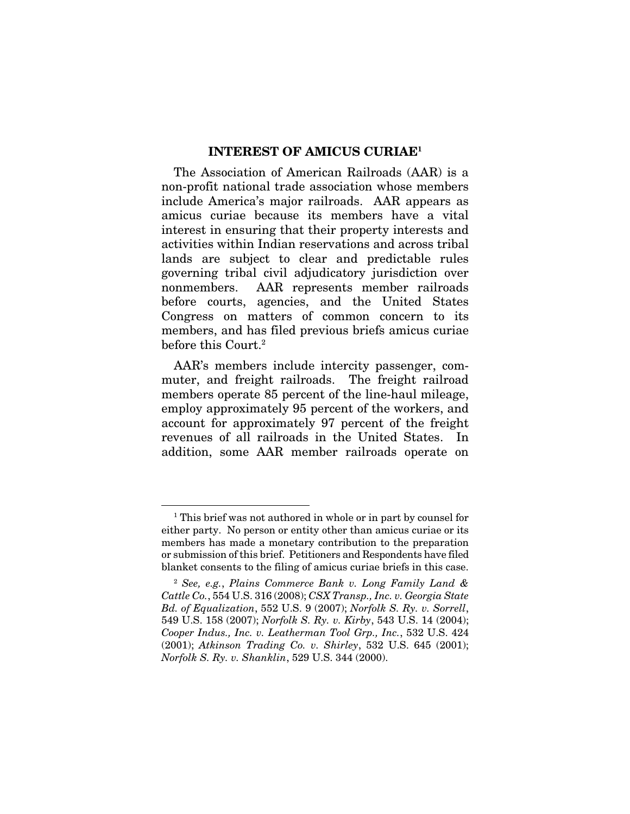#### INTEREST OF AMICUS CURIAE1

The Association of American Railroads (AAR) is a non-profit national trade association whose members include America's major railroads. AAR appears as amicus curiae because its members have a vital interest in ensuring that their property interests and activities within Indian reservations and across tribal lands are subject to clear and predictable rules governing tribal civil adjudicatory jurisdiction over nonmembers. AAR represents member railroads before courts, agencies, and the United States Congress on matters of common concern to its members, and has filed previous briefs amicus curiae before this Court.<sup>2</sup>

AAR's members include intercity passenger, commuter, and freight railroads. The freight railroad members operate 85 percent of the line-haul mileage, employ approximately 95 percent of the workers, and account for approximately 97 percent of the freight revenues of all railroads in the United States. addition, some AAR member railroads operate on

<sup>&</sup>lt;sup>1</sup> This brief was not authored in whole or in part by counsel for either party. No person or entity other than amicus curiae or its members has made a monetary contribution to the preparation or submission of this brief. Petitioners and Respondents have filed blanket consents to the filing of amicus curiae briefs in this case.

<sup>2</sup> *See, e.g.*, *Plains Commerce Bank v. Long Family Land & Cattle Co.*, 554 U.S. 316 (2008); *CSX Transp., Inc. v. Georgia State Bd. of Equalization*, 552 U.S. 9 (2007); *Norfolk S. Ry. v. Sorrell*, 549 U.S. 158 (2007); *Norfolk S. Ry. v. Kirby*, 543 U.S. 14 (2004); *Cooper Indus., Inc. v. Leatherman Tool Grp., Inc.*, 532 U.S. 424 (2001); *Atkinson Trading Co. v. Shirley*, 532 U.S. 645 (2001); *Norfolk S. Ry. v. Shanklin*, 529 U.S. 344 (2000).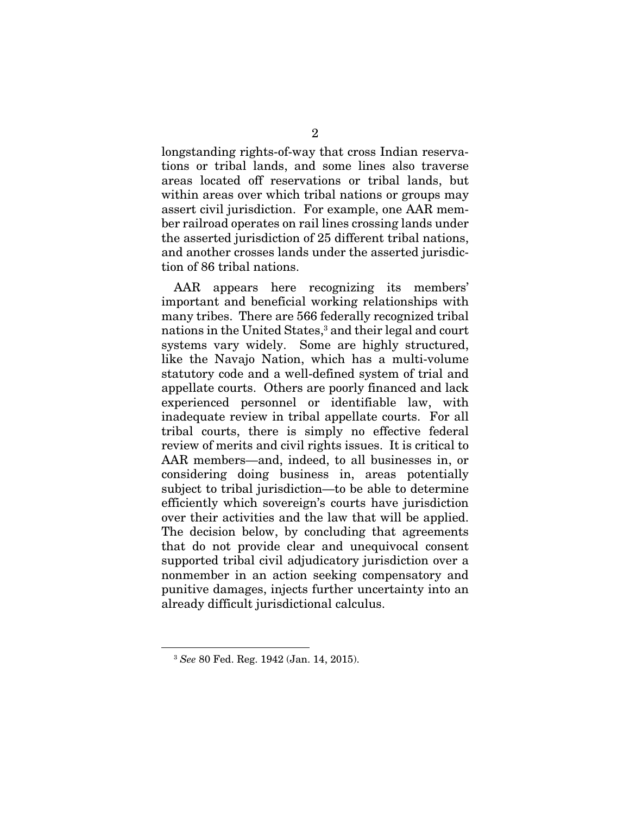longstanding rights-of-way that cross Indian reservations or tribal lands, and some lines also traverse areas located off reservations or tribal lands, but within areas over which tribal nations or groups may assert civil jurisdiction. For example, one AAR member railroad operates on rail lines crossing lands under the asserted jurisdiction of 25 different tribal nations, and another crosses lands under the asserted jurisdiction of 86 tribal nations.

AAR appears here recognizing its members' important and beneficial working relationships with many tribes. There are 566 federally recognized tribal nations in the United States,<sup>3</sup> and their legal and court systems vary widely. Some are highly structured, like the Navajo Nation, which has a multi-volume statutory code and a well-defined system of trial and appellate courts. Others are poorly financed and lack experienced personnel or identifiable law, with inadequate review in tribal appellate courts. For all tribal courts, there is simply no effective federal review of merits and civil rights issues. It is critical to AAR members—and, indeed, to all businesses in, or considering doing business in, areas potentially subject to tribal jurisdiction—to be able to determine efficiently which sovereign's courts have jurisdiction over their activities and the law that will be applied. The decision below, by concluding that agreements that do not provide clear and unequivocal consent supported tribal civil adjudicatory jurisdiction over a nonmember in an action seeking compensatory and punitive damages, injects further uncertainty into an already difficult jurisdictional calculus.

<sup>3</sup> *See* 80 Fed. Reg. 1942 (Jan. 14, 2015).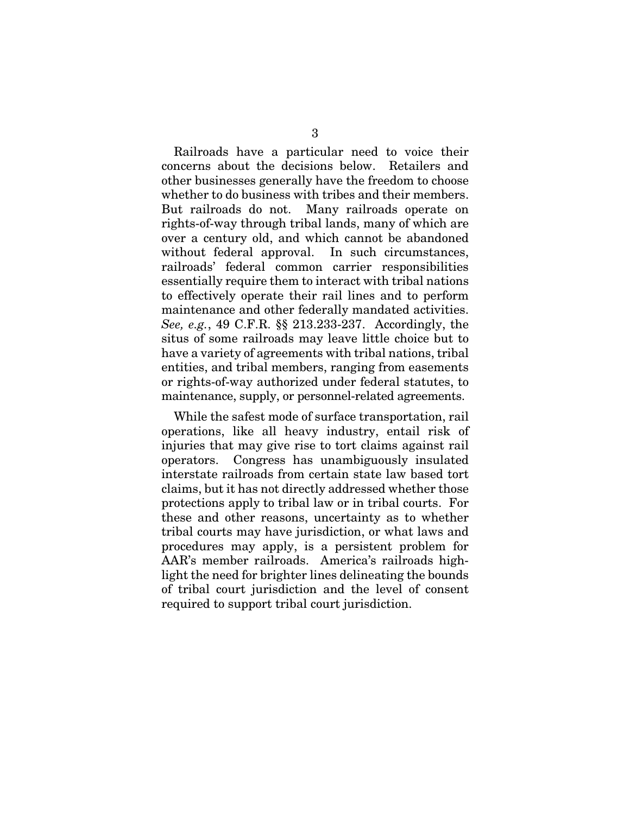Railroads have a particular need to voice their concerns about the decisions below. Retailers and other businesses generally have the freedom to choose whether to do business with tribes and their members. But railroads do not. Many railroads operate on rights-of-way through tribal lands, many of which are over a century old, and which cannot be abandoned without federal approval. In such circumstances, railroads' federal common carrier responsibilities essentially require them to interact with tribal nations to effectively operate their rail lines and to perform maintenance and other federally mandated activities. *See, e.g.*, 49 C.F.R. §§ 213.233-237. Accordingly, the situs of some railroads may leave little choice but to have a variety of agreements with tribal nations, tribal entities, and tribal members, ranging from easements or rights-of-way authorized under federal statutes, to maintenance, supply, or personnel-related agreements.

While the safest mode of surface transportation, rail operations, like all heavy industry, entail risk of injuries that may give rise to tort claims against rail operators. Congress has unambiguously insulated interstate railroads from certain state law based tort claims, but it has not directly addressed whether those protections apply to tribal law or in tribal courts. For these and other reasons, uncertainty as to whether tribal courts may have jurisdiction, or what laws and procedures may apply, is a persistent problem for AAR's member railroads. America's railroads highlight the need for brighter lines delineating the bounds of tribal court jurisdiction and the level of consent required to support tribal court jurisdiction.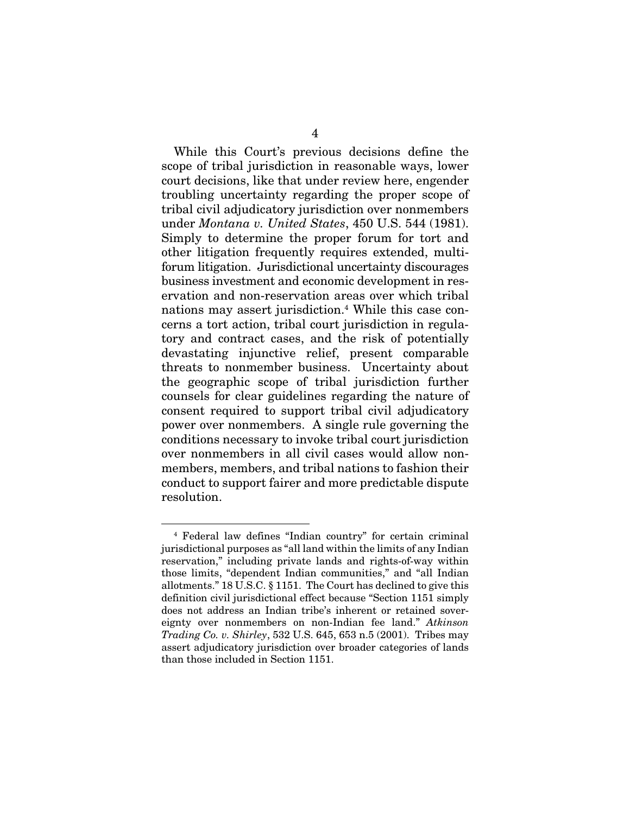While this Court's previous decisions define the scope of tribal jurisdiction in reasonable ways, lower court decisions, like that under review here, engender troubling uncertainty regarding the proper scope of tribal civil adjudicatory jurisdiction over nonmembers under *Montana v. United States*, 450 U.S. 544 (1981). Simply to determine the proper forum for tort and other litigation frequently requires extended, multiforum litigation. Jurisdictional uncertainty discourages business investment and economic development in reservation and non-reservation areas over which tribal nations may assert jurisdiction.<sup>4</sup> While this case concerns a tort action, tribal court jurisdiction in regulatory and contract cases, and the risk of potentially devastating injunctive relief, present comparable threats to nonmember business. Uncertainty about the geographic scope of tribal jurisdiction further counsels for clear guidelines regarding the nature of consent required to support tribal civil adjudicatory power over nonmembers. A single rule governing the conditions necessary to invoke tribal court jurisdiction over nonmembers in all civil cases would allow nonmembers, members, and tribal nations to fashion their conduct to support fairer and more predictable dispute resolution.

<sup>4</sup> Federal law defines "Indian country" for certain criminal jurisdictional purposes as "all land within the limits of any Indian reservation," including private lands and rights-of-way within those limits, "dependent Indian communities," and "all Indian allotments." 18 U.S.C. § 1151. The Court has declined to give this definition civil jurisdictional effect because "Section 1151 simply does not address an Indian tribe's inherent or retained sovereignty over nonmembers on non-Indian fee land." *Atkinson Trading Co. v. Shirley*, 532 U.S. 645, 653 n.5 (2001). Tribes may assert adjudicatory jurisdiction over broader categories of lands than those included in Section 1151.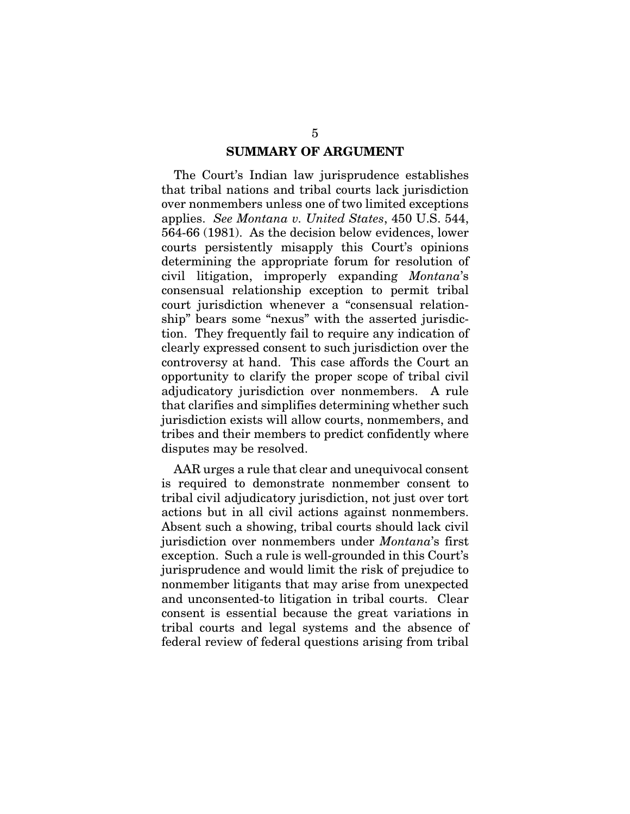#### SUMMARY OF ARGUMENT

The Court's Indian law jurisprudence establishes that tribal nations and tribal courts lack jurisdiction over nonmembers unless one of two limited exceptions applies. *See Montana v. United States*, 450 U.S. 544, 564-66 (1981). As the decision below evidences, lower courts persistently misapply this Court's opinions determining the appropriate forum for resolution of civil litigation, improperly expanding *Montana*'s consensual relationship exception to permit tribal court jurisdiction whenever a "consensual relationship" bears some "nexus" with the asserted jurisdiction. They frequently fail to require any indication of clearly expressed consent to such jurisdiction over the controversy at hand. This case affords the Court an opportunity to clarify the proper scope of tribal civil adjudicatory jurisdiction over nonmembers. A rule that clarifies and simplifies determining whether such jurisdiction exists will allow courts, nonmembers, and tribes and their members to predict confidently where disputes may be resolved.

AAR urges a rule that clear and unequivocal consent is required to demonstrate nonmember consent to tribal civil adjudicatory jurisdiction, not just over tort actions but in all civil actions against nonmembers. Absent such a showing, tribal courts should lack civil jurisdiction over nonmembers under *Montana*'s first exception. Such a rule is well-grounded in this Court's jurisprudence and would limit the risk of prejudice to nonmember litigants that may arise from unexpected and unconsented-to litigation in tribal courts. Clear consent is essential because the great variations in tribal courts and legal systems and the absence of federal review of federal questions arising from tribal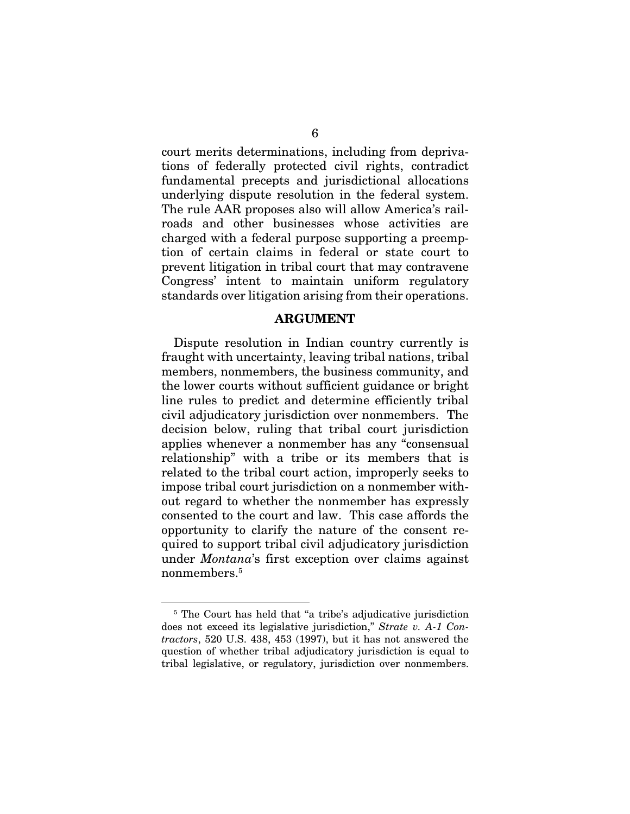court merits determinations, including from deprivations of federally protected civil rights, contradict fundamental precepts and jurisdictional allocations underlying dispute resolution in the federal system. The rule AAR proposes also will allow America's railroads and other businesses whose activities are charged with a federal purpose supporting a preemption of certain claims in federal or state court to prevent litigation in tribal court that may contravene Congress' intent to maintain uniform regulatory standards over litigation arising from their operations.

#### ARGUMENT

Dispute resolution in Indian country currently is fraught with uncertainty, leaving tribal nations, tribal members, nonmembers, the business community, and the lower courts without sufficient guidance or bright line rules to predict and determine efficiently tribal civil adjudicatory jurisdiction over nonmembers. The decision below, ruling that tribal court jurisdiction applies whenever a nonmember has any "consensual relationship" with a tribe or its members that is related to the tribal court action, improperly seeks to impose tribal court jurisdiction on a nonmember without regard to whether the nonmember has expressly consented to the court and law. This case affords the opportunity to clarify the nature of the consent required to support tribal civil adjudicatory jurisdiction under *Montana*'s first exception over claims against nonmembers.5

<sup>&</sup>lt;sup>5</sup> The Court has held that "a tribe's adjudicative jurisdiction does not exceed its legislative jurisdiction," *Strate v. A-1 Contractors*, 520 U.S. 438, 453 (1997), but it has not answered the question of whether tribal adjudicatory jurisdiction is equal to tribal legislative, or regulatory, jurisdiction over nonmembers.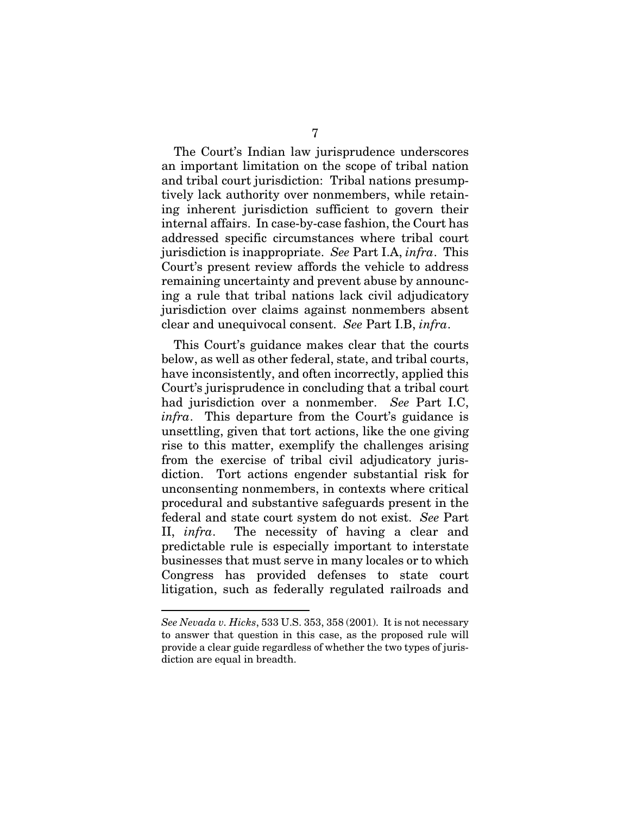The Court's Indian law jurisprudence underscores an important limitation on the scope of tribal nation and tribal court jurisdiction: Tribal nations presumptively lack authority over nonmembers, while retaining inherent jurisdiction sufficient to govern their internal affairs. In case-by-case fashion, the Court has addressed specific circumstances where tribal court jurisdiction is inappropriate. *See* Part I.A, *infra*. This Court's present review affords the vehicle to address remaining uncertainty and prevent abuse by announcing a rule that tribal nations lack civil adjudicatory jurisdiction over claims against nonmembers absent clear and unequivocal consent. *See* Part I.B, *infra*.

This Court's guidance makes clear that the courts below, as well as other federal, state, and tribal courts, have inconsistently, and often incorrectly, applied this Court's jurisprudence in concluding that a tribal court had jurisdiction over a nonmember. *See* Part I.C, *infra*. This departure from the Court's guidance is unsettling, given that tort actions, like the one giving rise to this matter, exemplify the challenges arising from the exercise of tribal civil adjudicatory jurisdiction. Tort actions engender substantial risk for unconsenting nonmembers, in contexts where critical procedural and substantive safeguards present in the federal and state court system do not exist. *See* Part II, *infra*. The necessity of having a clear and predictable rule is especially important to interstate businesses that must serve in many locales or to which Congress has provided defenses to state court litigation, such as federally regulated railroads and

*See Nevada v. Hicks*, 533 U.S. 353, 358 (2001). It is not necessary to answer that question in this case, as the proposed rule will provide a clear guide regardless of whether the two types of jurisdiction are equal in breadth.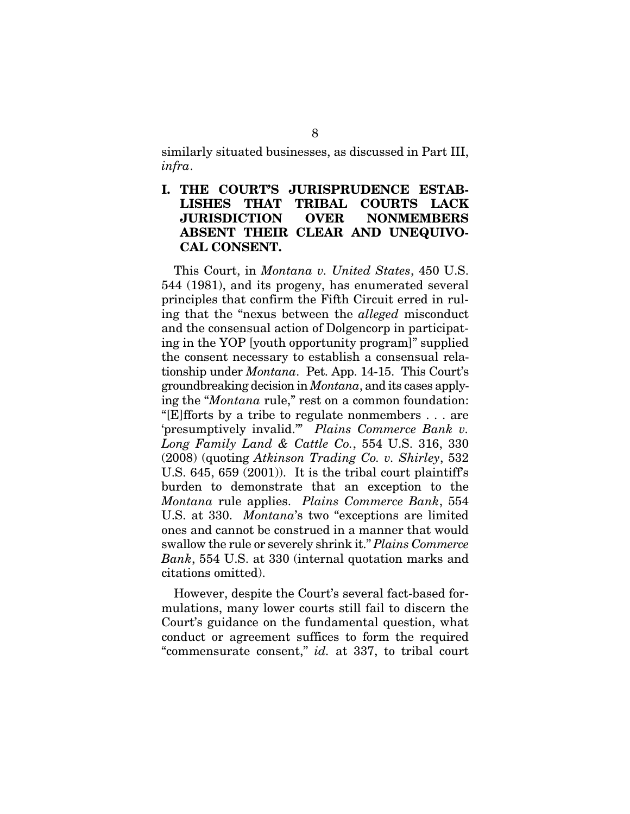similarly situated businesses, as discussed in Part III, *infra*.

I. THE COURT'S JURISPRUDENCE ESTAB-LISHES THAT TRIBAL COURTS LACK JURISDICTION OVER NONMEMBERS ABSENT THEIR CLEAR AND UNEQUIVO-CAL CONSENT.

This Court, in *Montana v. United States*, 450 U.S. 544 (1981), and its progeny, has enumerated several principles that confirm the Fifth Circuit erred in ruling that the "nexus between the *alleged* misconduct and the consensual action of Dolgencorp in participating in the YOP [youth opportunity program]" supplied the consent necessary to establish a consensual relationship under *Montana*. Pet. App. 14-15. This Court's groundbreaking decision in *Montana*, and its cases applying the "*Montana* rule," rest on a common foundation: "[E]fforts by a tribe to regulate nonmembers . . . are 'presumptively invalid.'" *Plains Commerce Bank v. Long Family Land & Cattle Co.*, 554 U.S. 316, 330 (2008) (quoting *Atkinson Trading Co. v. Shirley*, 532 U.S. 645, 659 (2001)). It is the tribal court plaintiff's burden to demonstrate that an exception to the *Montana* rule applies. *Plains Commerce Bank*, 554 U.S. at 330. *Montana*'s two "exceptions are limited ones and cannot be construed in a manner that would swallow the rule or severely shrink it." *Plains Commerce Bank*, 554 U.S. at 330 (internal quotation marks and citations omitted).

However, despite the Court's several fact-based formulations, many lower courts still fail to discern the Court's guidance on the fundamental question, what conduct or agreement suffices to form the required "commensurate consent," *id.* at 337, to tribal court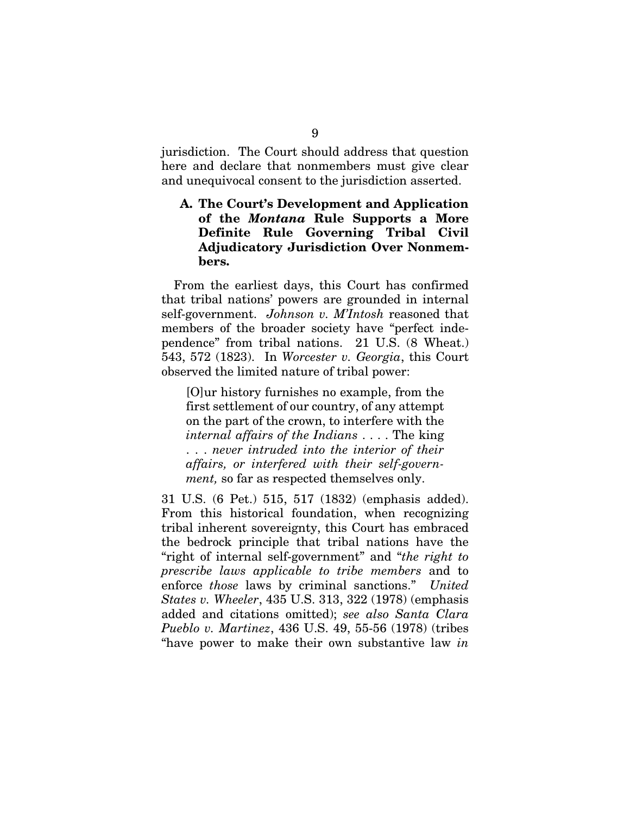jurisdiction. The Court should address that question here and declare that nonmembers must give clear and unequivocal consent to the jurisdiction asserted.

### A. The Court's Development and Application of the *Montana* Rule Supports a More Definite Rule Governing Tribal Civil Adjudicatory Jurisdiction Over Nonmembers.

From the earliest days, this Court has confirmed that tribal nations' powers are grounded in internal self-government. *Johnson v. M'Intosh* reasoned that members of the broader society have "perfect independence" from tribal nations. 21 U.S. (8 Wheat.) 543, 572 (1823). In *Worcester v. Georgia*, this Court observed the limited nature of tribal power:

[O]ur history furnishes no example, from the first settlement of our country, of any attempt on the part of the crown, to interfere with the *internal affairs of the Indians* . . . . The king . . . *never intruded into the interior of their affairs, or interfered with their self-government,* so far as respected themselves only.

31 U.S. (6 Pet.) 515, 517 (1832) (emphasis added). From this historical foundation, when recognizing tribal inherent sovereignty, this Court has embraced the bedrock principle that tribal nations have the "right of internal self-government" and "*the right to prescribe laws applicable to tribe members* and to enforce *those* laws by criminal sanctions." *United States v. Wheeler*, 435 U.S. 313, 322 (1978) (emphasis added and citations omitted); *see also Santa Clara Pueblo v. Martinez*, 436 U.S. 49, 55-56 (1978) (tribes "have power to make their own substantive law *in*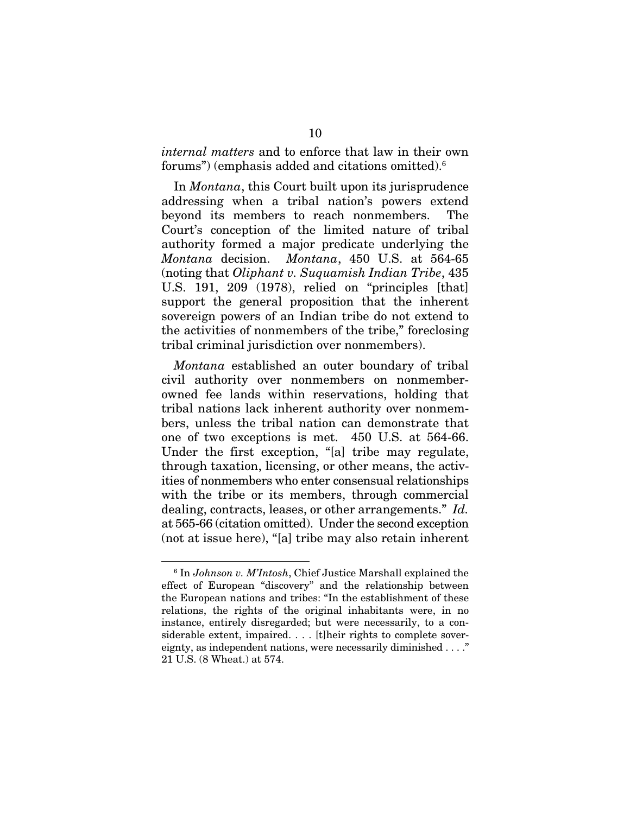*internal matters* and to enforce that law in their own forums") (emphasis added and citations omitted).6

In *Montana*, this Court built upon its jurisprudence addressing when a tribal nation's powers extend beyond its members to reach nonmembers. The Court's conception of the limited nature of tribal authority formed a major predicate underlying the *Montana* decision. *Montana*, 450 U.S. at 564-65 (noting that *Oliphant v. Suquamish Indian Tribe*, 435 U.S. 191, 209 (1978), relied on "principles [that] support the general proposition that the inherent sovereign powers of an Indian tribe do not extend to the activities of nonmembers of the tribe," foreclosing tribal criminal jurisdiction over nonmembers).

*Montana* established an outer boundary of tribal civil authority over nonmembers on nonmemberowned fee lands within reservations, holding that tribal nations lack inherent authority over nonmembers, unless the tribal nation can demonstrate that one of two exceptions is met. 450 U.S. at 564-66. Under the first exception, "[a] tribe may regulate, through taxation, licensing, or other means, the activities of nonmembers who enter consensual relationships with the tribe or its members, through commercial dealing, contracts, leases, or other arrangements." *Id.* at 565-66 (citation omitted). Under the second exception (not at issue here), "[a] tribe may also retain inherent

<sup>6</sup> In *Johnson v. M'Intosh*, Chief Justice Marshall explained the effect of European "discovery" and the relationship between the European nations and tribes: "In the establishment of these relations, the rights of the original inhabitants were, in no instance, entirely disregarded; but were necessarily, to a considerable extent, impaired. . . . [t]heir rights to complete sovereignty, as independent nations, were necessarily diminished . . . ." 21 U.S. (8 Wheat.) at 574.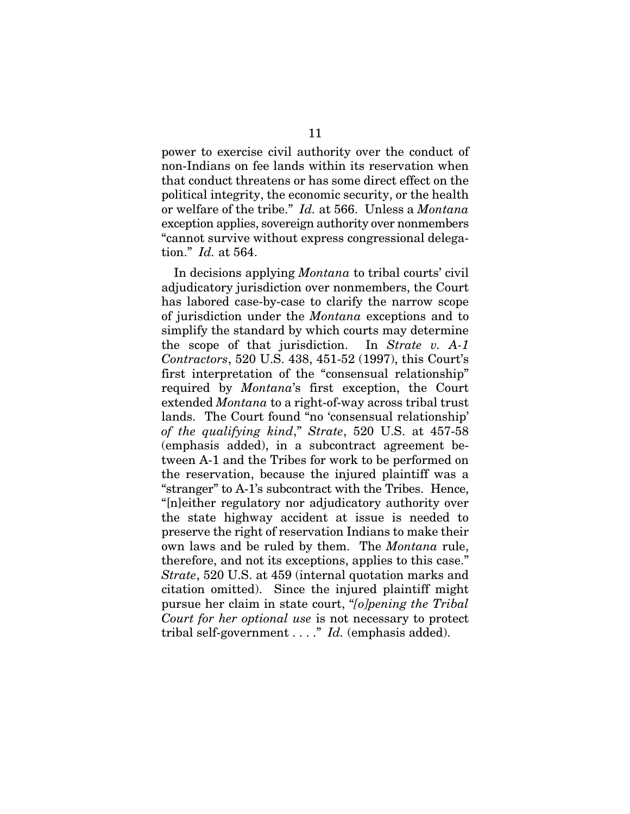power to exercise civil authority over the conduct of non-Indians on fee lands within its reservation when that conduct threatens or has some direct effect on the political integrity, the economic security, or the health or welfare of the tribe." *Id.* at 566. Unless a *Montana* exception applies, sovereign authority over nonmembers "cannot survive without express congressional delegation." *Id.* at 564.

In decisions applying *Montana* to tribal courts' civil adjudicatory jurisdiction over nonmembers, the Court has labored case-by-case to clarify the narrow scope of jurisdiction under the *Montana* exceptions and to simplify the standard by which courts may determine the scope of that jurisdiction. In *Strate v. A-1 Contractors*, 520 U.S. 438, 451-52 (1997), this Court's first interpretation of the "consensual relationship" required by *Montana*'s first exception, the Court extended *Montana* to a right-of-way across tribal trust lands. The Court found "no 'consensual relationship' *of the qualifying kind*," *Strate*, 520 U.S. at 457-58 (emphasis added), in a subcontract agreement between A-1 and the Tribes for work to be performed on the reservation, because the injured plaintiff was a "stranger" to A-1's subcontract with the Tribes. Hence, "[n]either regulatory nor adjudicatory authority over the state highway accident at issue is needed to preserve the right of reservation Indians to make their own laws and be ruled by them. The *Montana* rule, therefore, and not its exceptions, applies to this case." *Strate*, 520 U.S. at 459 (internal quotation marks and citation omitted). Since the injured plaintiff might pursue her claim in state court, "*[o]pening the Tribal Court for her optional use* is not necessary to protect tribal self-government . . . ." *Id.* (emphasis added).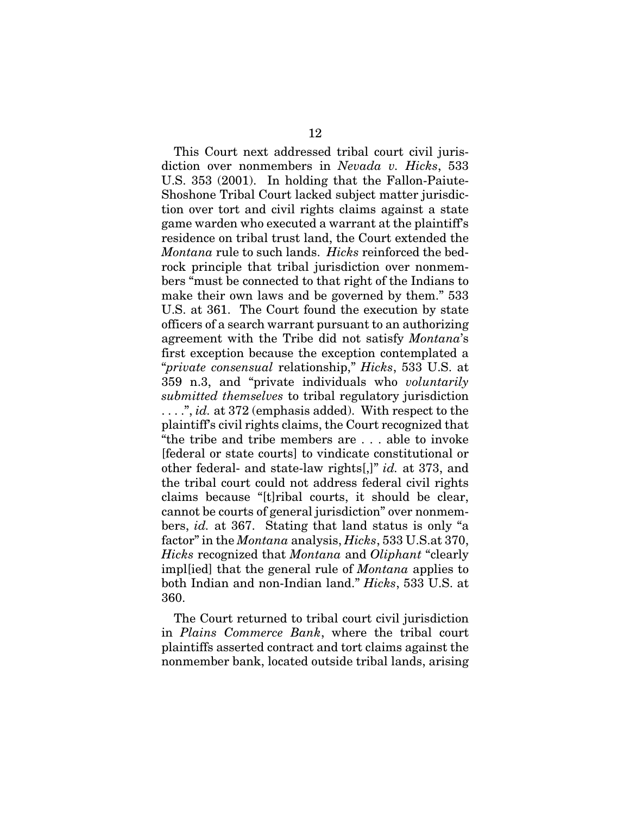This Court next addressed tribal court civil jurisdiction over nonmembers in *Nevada v. Hicks*, 533 U.S. 353 (2001). In holding that the Fallon-Paiute-Shoshone Tribal Court lacked subject matter jurisdiction over tort and civil rights claims against a state game warden who executed a warrant at the plaintiff's residence on tribal trust land, the Court extended the *Montana* rule to such lands. *Hicks* reinforced the bedrock principle that tribal jurisdiction over nonmembers "must be connected to that right of the Indians to make their own laws and be governed by them." 533 U.S. at 361. The Court found the execution by state officers of a search warrant pursuant to an authorizing agreement with the Tribe did not satisfy *Montana*'s first exception because the exception contemplated a "*private consensual* relationship," *Hicks*, 533 U.S. at 359 n.3, and "private individuals who *voluntarily submitted themselves* to tribal regulatory jurisdiction . . . .", *id.* at 372 (emphasis added). With respect to the plaintiff's civil rights claims, the Court recognized that "the tribe and tribe members are . . . able to invoke [federal or state courts] to vindicate constitutional or other federal- and state-law rights[,]" *id.* at 373, and the tribal court could not address federal civil rights claims because "[t]ribal courts, it should be clear, cannot be courts of general jurisdiction" over nonmembers, *id.* at 367. Stating that land status is only "a factor" in the *Montana* analysis, *Hicks*, 533 U.S.at 370, *Hicks* recognized that *Montana* and *Oliphant* "clearly impl[ied] that the general rule of *Montana* applies to both Indian and non-Indian land." *Hicks*, 533 U.S. at 360.

The Court returned to tribal court civil jurisdiction in *Plains Commerce Bank*, where the tribal court plaintiffs asserted contract and tort claims against the nonmember bank, located outside tribal lands, arising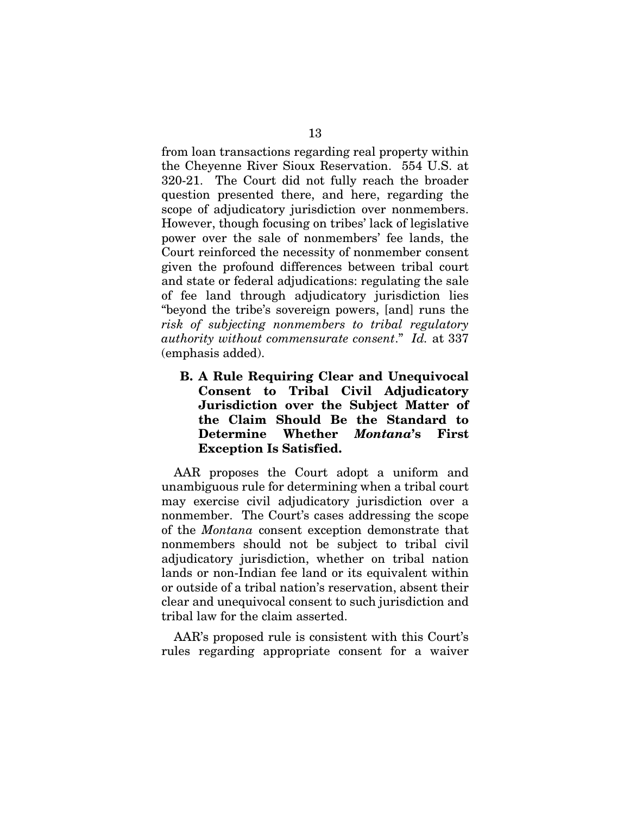from loan transactions regarding real property within the Cheyenne River Sioux Reservation. 554 U.S. at 320-21. The Court did not fully reach the broader question presented there, and here, regarding the scope of adjudicatory jurisdiction over nonmembers. However, though focusing on tribes' lack of legislative power over the sale of nonmembers' fee lands, the Court reinforced the necessity of nonmember consent given the profound differences between tribal court and state or federal adjudications: regulating the sale of fee land through adjudicatory jurisdiction lies "beyond the tribe's sovereign powers, [and] runs the *risk of subjecting nonmembers to tribal regulatory authority without commensurate consent*." *Id.* at 337 (emphasis added).

B. A Rule Requiring Clear and Unequivocal Consent to Tribal Civil Adjudicatory Jurisdiction over the Subject Matter of the Claim Should Be the Standard to Determine Whether *Montana*'s First Exception Is Satisfied.

AAR proposes the Court adopt a uniform and unambiguous rule for determining when a tribal court may exercise civil adjudicatory jurisdiction over a nonmember. The Court's cases addressing the scope of the *Montana* consent exception demonstrate that nonmembers should not be subject to tribal civil adjudicatory jurisdiction, whether on tribal nation lands or non-Indian fee land or its equivalent within or outside of a tribal nation's reservation, absent their clear and unequivocal consent to such jurisdiction and tribal law for the claim asserted.

AAR's proposed rule is consistent with this Court's rules regarding appropriate consent for a waiver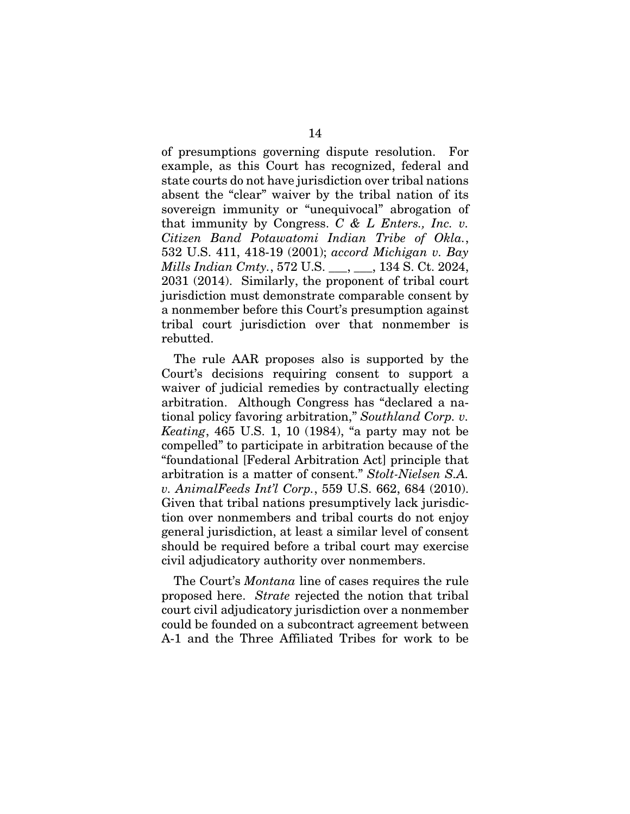of presumptions governing dispute resolution. For example, as this Court has recognized, federal and state courts do not have jurisdiction over tribal nations absent the "clear" waiver by the tribal nation of its sovereign immunity or "unequivocal" abrogation of that immunity by Congress. *C & L Enters., Inc. v. Citizen Band Potawatomi Indian Tribe of Okla.*, 532 U.S. 411, 418-19 (2001); *accord Michigan v. Bay Mills Indian Cmty.*, 572 U.S. \_\_\_, \_\_\_, 134 S. Ct. 2024, 2031 (2014). Similarly, the proponent of tribal court jurisdiction must demonstrate comparable consent by a nonmember before this Court's presumption against tribal court jurisdiction over that nonmember is rebutted.

The rule AAR proposes also is supported by the Court's decisions requiring consent to support a waiver of judicial remedies by contractually electing arbitration. Although Congress has "declared a national policy favoring arbitration," *Southland Corp. v. Keating*, 465 U.S. 1, 10 (1984), "a party may not be compelled" to participate in arbitration because of the "foundational [Federal Arbitration Act] principle that arbitration is a matter of consent." *Stolt-Nielsen S.A. v. AnimalFeeds Int'l Corp.*, 559 U.S. 662, 684 (2010). Given that tribal nations presumptively lack jurisdiction over nonmembers and tribal courts do not enjoy general jurisdiction, at least a similar level of consent should be required before a tribal court may exercise civil adjudicatory authority over nonmembers.

The Court's *Montana* line of cases requires the rule proposed here. *Strate* rejected the notion that tribal court civil adjudicatory jurisdiction over a nonmember could be founded on a subcontract agreement between A-1 and the Three Affiliated Tribes for work to be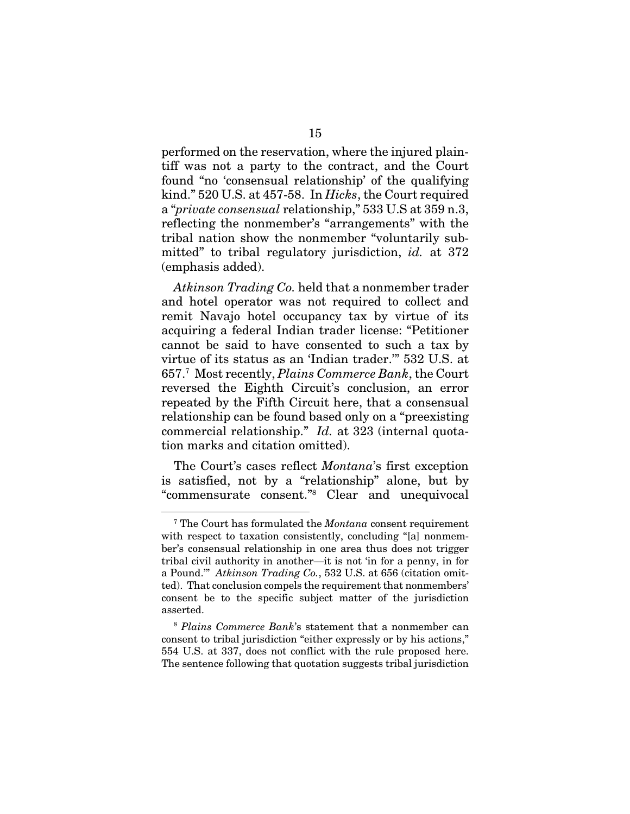performed on the reservation, where the injured plaintiff was not a party to the contract, and the Court found "no 'consensual relationship' of the qualifying kind." 520 U.S. at 457-58. In *Hicks*, the Court required a "*private consensual* relationship," 533 U.S at 359 n.3, reflecting the nonmember's "arrangements" with the tribal nation show the nonmember "voluntarily submitted" to tribal regulatory jurisdiction, *id.* at 372 (emphasis added).

*Atkinson Trading Co.* held that a nonmember trader and hotel operator was not required to collect and remit Navajo hotel occupancy tax by virtue of its acquiring a federal Indian trader license: "Petitioner cannot be said to have consented to such a tax by virtue of its status as an 'Indian trader.'" 532 U.S. at 657.7 Most recently, *Plains Commerce Bank*, the Court reversed the Eighth Circuit's conclusion, an error repeated by the Fifth Circuit here, that a consensual relationship can be found based only on a "preexisting commercial relationship." *Id.* at 323 (internal quotation marks and citation omitted).

The Court's cases reflect *Montana*'s first exception is satisfied, not by a "relationship" alone, but by "commensurate consent."8 Clear and unequivocal

<sup>7</sup> The Court has formulated the *Montana* consent requirement with respect to taxation consistently, concluding "[a] nonmember's consensual relationship in one area thus does not trigger tribal civil authority in another—it is not 'in for a penny, in for a Pound.'" *Atkinson Trading Co.*, 532 U.S. at 656 (citation omitted). That conclusion compels the requirement that nonmembers' consent be to the specific subject matter of the jurisdiction asserted.

<sup>8</sup> *Plains Commerce Bank*'s statement that a nonmember can consent to tribal jurisdiction "either expressly or by his actions," 554 U.S. at 337, does not conflict with the rule proposed here. The sentence following that quotation suggests tribal jurisdiction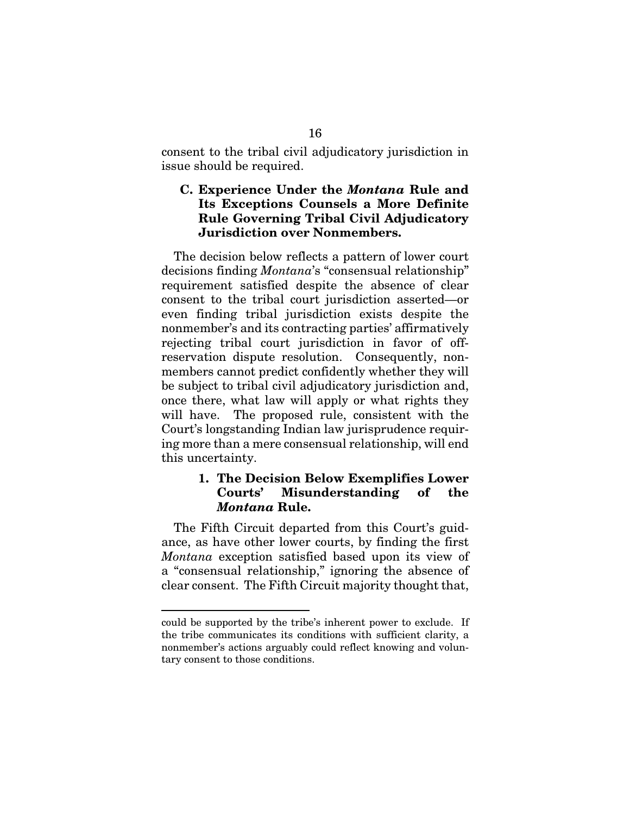consent to the tribal civil adjudicatory jurisdiction in issue should be required.

### C. Experience Under the *Montana* Rule and Its Exceptions Counsels a More Definite Rule Governing Tribal Civil Adjudicatory Jurisdiction over Nonmembers.

The decision below reflects a pattern of lower court decisions finding *Montana*'s "consensual relationship" requirement satisfied despite the absence of clear consent to the tribal court jurisdiction asserted—or even finding tribal jurisdiction exists despite the nonmember's and its contracting parties' affirmatively rejecting tribal court jurisdiction in favor of offreservation dispute resolution. Consequently, nonmembers cannot predict confidently whether they will be subject to tribal civil adjudicatory jurisdiction and, once there, what law will apply or what rights they will have. The proposed rule, consistent with the Court's longstanding Indian law jurisprudence requiring more than a mere consensual relationship, will end this uncertainty.

### 1. The Decision Below Exemplifies Lower Courts' Misunderstanding of the *Montana* Rule.

The Fifth Circuit departed from this Court's guidance, as have other lower courts, by finding the first *Montana* exception satisfied based upon its view of a "consensual relationship," ignoring the absence of clear consent. The Fifth Circuit majority thought that,

could be supported by the tribe's inherent power to exclude. If the tribe communicates its conditions with sufficient clarity, a nonmember's actions arguably could reflect knowing and voluntary consent to those conditions.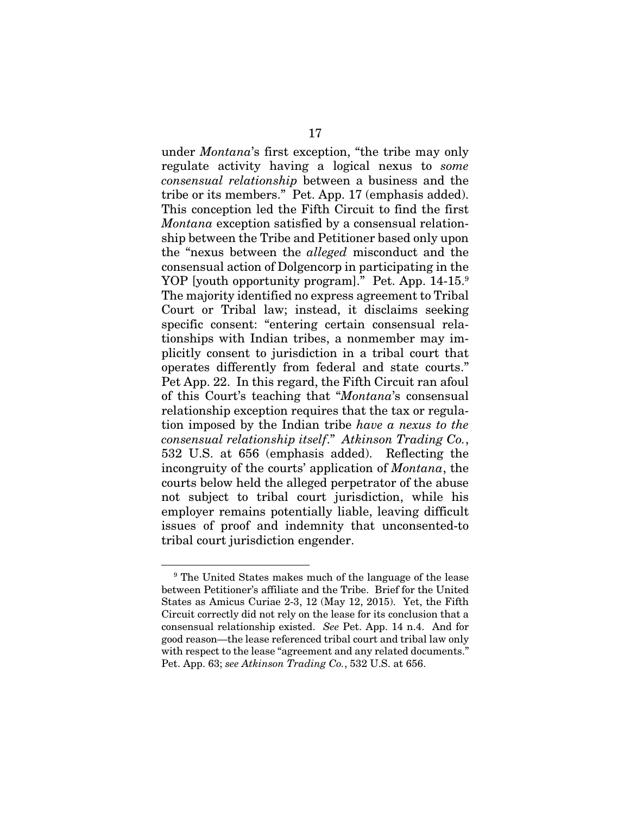under *Montana*'s first exception, "the tribe may only regulate activity having a logical nexus to *some consensual relationship* between a business and the tribe or its members." Pet. App. 17 (emphasis added). This conception led the Fifth Circuit to find the first *Montana* exception satisfied by a consensual relationship between the Tribe and Petitioner based only upon the "nexus between the *alleged* misconduct and the consensual action of Dolgencorp in participating in the YOP [youth opportunity program]." Pet. App. 14-15.<sup>9</sup> The majority identified no express agreement to Tribal Court or Tribal law; instead, it disclaims seeking specific consent: "entering certain consensual relationships with Indian tribes, a nonmember may implicitly consent to jurisdiction in a tribal court that operates differently from federal and state courts." Pet App. 22. In this regard, the Fifth Circuit ran afoul of this Court's teaching that "*Montana*'s consensual relationship exception requires that the tax or regulation imposed by the Indian tribe *have a nexus to the consensual relationship itself*." *Atkinson Trading Co.*, 532 U.S. at 656 (emphasis added). Reflecting the incongruity of the courts' application of *Montana*, the courts below held the alleged perpetrator of the abuse not subject to tribal court jurisdiction, while his employer remains potentially liable, leaving difficult issues of proof and indemnity that unconsented-to tribal court jurisdiction engender.

<sup>9</sup> The United States makes much of the language of the lease between Petitioner's affiliate and the Tribe. Brief for the United States as Amicus Curiae 2-3, 12 (May 12, 2015). Yet, the Fifth Circuit correctly did not rely on the lease for its conclusion that a consensual relationship existed. *See* Pet. App. 14 n.4. And for good reason—the lease referenced tribal court and tribal law only with respect to the lease "agreement and any related documents." Pet. App. 63; *see Atkinson Trading Co.*, 532 U.S. at 656.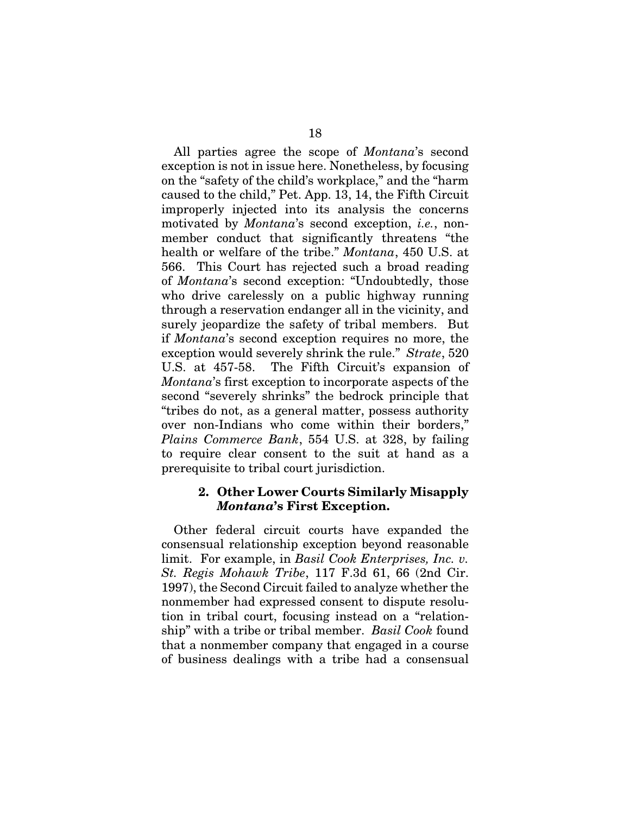All parties agree the scope of *Montana*'s second exception is not in issue here. Nonetheless, by focusing on the "safety of the child's workplace," and the "harm caused to the child," Pet. App. 13, 14, the Fifth Circuit improperly injected into its analysis the concerns motivated by *Montana*'s second exception, *i.e.*, nonmember conduct that significantly threatens "the health or welfare of the tribe." *Montana*, 450 U.S. at 566. This Court has rejected such a broad reading of *Montana*'s second exception: "Undoubtedly, those who drive carelessly on a public highway running through a reservation endanger all in the vicinity, and surely jeopardize the safety of tribal members. But if *Montana*'s second exception requires no more, the exception would severely shrink the rule." *Strate*, 520 U.S. at 457-58. The Fifth Circuit's expansion of *Montana*'s first exception to incorporate aspects of the second "severely shrinks" the bedrock principle that "tribes do not, as a general matter, possess authority over non-Indians who come within their borders," *Plains Commerce Bank*, 554 U.S. at 328, by failing to require clear consent to the suit at hand as a prerequisite to tribal court jurisdiction.

#### 2. Other Lower Courts Similarly Misapply *Montana*'s First Exception.

Other federal circuit courts have expanded the consensual relationship exception beyond reasonable limit. For example, in *Basil Cook Enterprises, Inc. v. St. Regis Mohawk Tribe*, 117 F.3d 61, 66 (2nd Cir. 1997), the Second Circuit failed to analyze whether the nonmember had expressed consent to dispute resolution in tribal court, focusing instead on a "relationship" with a tribe or tribal member. *Basil Cook* found that a nonmember company that engaged in a course of business dealings with a tribe had a consensual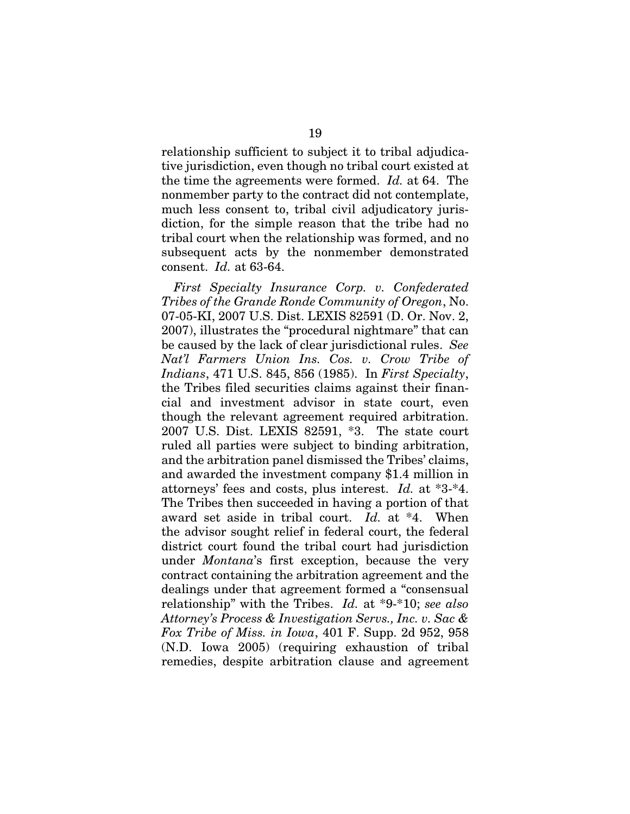relationship sufficient to subject it to tribal adjudicative jurisdiction, even though no tribal court existed at the time the agreements were formed. *Id.* at 64. The nonmember party to the contract did not contemplate, much less consent to, tribal civil adjudicatory jurisdiction, for the simple reason that the tribe had no tribal court when the relationship was formed, and no subsequent acts by the nonmember demonstrated consent. *Id.* at 63-64.

*First Specialty Insurance Corp. v. Confederated Tribes of the Grande Ronde Community of Oregon*, No. 07-05-KI, 2007 U.S. Dist. LEXIS 82591 (D. Or. Nov. 2, 2007), illustrates the "procedural nightmare" that can be caused by the lack of clear jurisdictional rules. *See Nat'l Farmers Union Ins. Cos. v. Crow Tribe of Indians*, 471 U.S. 845, 856 (1985). In *First Specialty*, the Tribes filed securities claims against their financial and investment advisor in state court, even though the relevant agreement required arbitration. 2007 U.S. Dist. LEXIS 82591, \*3. The state court ruled all parties were subject to binding arbitration, and the arbitration panel dismissed the Tribes' claims, and awarded the investment company \$1.4 million in attorneys' fees and costs, plus interest. *Id.* at \*3-\*4. The Tribes then succeeded in having a portion of that award set aside in tribal court. *Id.* at \*4. When the advisor sought relief in federal court, the federal district court found the tribal court had jurisdiction under *Montana*'s first exception, because the very contract containing the arbitration agreement and the dealings under that agreement formed a "consensual relationship" with the Tribes. *Id.* at \*9-\*10; *see also Attorney's Process & Investigation Servs., Inc. v. Sac & Fox Tribe of Miss. in Iowa*, 401 F. Supp. 2d 952, 958 (N.D. Iowa 2005) (requiring exhaustion of tribal remedies, despite arbitration clause and agreement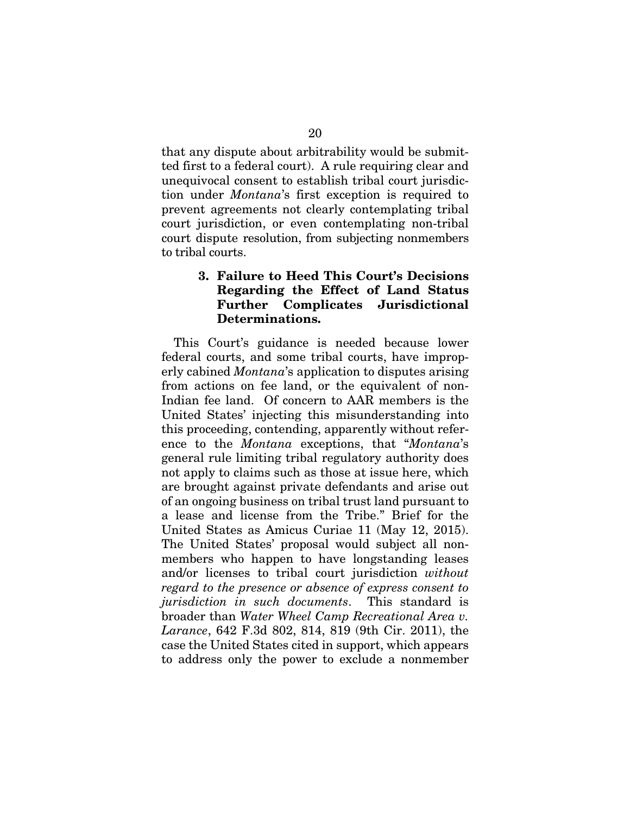that any dispute about arbitrability would be submitted first to a federal court). A rule requiring clear and unequivocal consent to establish tribal court jurisdiction under *Montana*'s first exception is required to prevent agreements not clearly contemplating tribal court jurisdiction, or even contemplating non-tribal court dispute resolution, from subjecting nonmembers to tribal courts.

### 3. Failure to Heed This Court's Decisions Regarding the Effect of Land Status Further Complicates Jurisdictional Determinations.

This Court's guidance is needed because lower federal courts, and some tribal courts, have improperly cabined *Montana*'s application to disputes arising from actions on fee land, or the equivalent of non-Indian fee land. Of concern to AAR members is the United States' injecting this misunderstanding into this proceeding, contending, apparently without reference to the *Montana* exceptions, that "*Montana*'s general rule limiting tribal regulatory authority does not apply to claims such as those at issue here, which are brought against private defendants and arise out of an ongoing business on tribal trust land pursuant to a lease and license from the Tribe." Brief for the United States as Amicus Curiae 11 (May 12, 2015). The United States' proposal would subject all nonmembers who happen to have longstanding leases and/or licenses to tribal court jurisdiction *without regard to the presence or absence of express consent to jurisdiction in such documents*.This standard is broader than *Water Wheel Camp Recreational Area v. Larance*, 642 F.3d 802, 814, 819 (9th Cir. 2011), the case the United States cited in support, which appears to address only the power to exclude a nonmember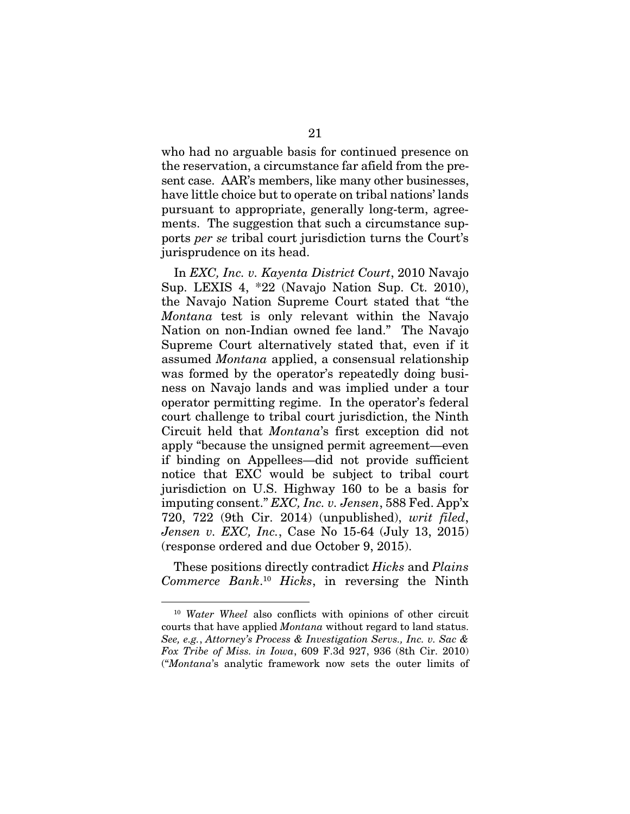who had no arguable basis for continued presence on the reservation, a circumstance far afield from the present case. AAR's members, like many other businesses, have little choice but to operate on tribal nations' lands pursuant to appropriate, generally long-term, agreements. The suggestion that such a circumstance supports *per se* tribal court jurisdiction turns the Court's jurisprudence on its head.

In *EXC, Inc. v. Kayenta District Court*, 2010 Navajo Sup. LEXIS 4, \*22 (Navajo Nation Sup. Ct. 2010), the Navajo Nation Supreme Court stated that "the *Montana* test is only relevant within the Navajo Nation on non-Indian owned fee land." The Navajo Supreme Court alternatively stated that, even if it assumed *Montana* applied, a consensual relationship was formed by the operator's repeatedly doing business on Navajo lands and was implied under a tour operator permitting regime. In the operator's federal court challenge to tribal court jurisdiction, the Ninth Circuit held that *Montana*'s first exception did not apply "because the unsigned permit agreement—even if binding on Appellees—did not provide sufficient notice that EXC would be subject to tribal court jurisdiction on U.S. Highway 160 to be a basis for imputing consent." *EXC, Inc. v. Jensen*, 588 Fed. App'x 720, 722 (9th Cir. 2014) (unpublished), *writ filed*, *Jensen v. EXC, Inc.*, Case No 15-64 (July 13, 2015) (response ordered and due October 9, 2015).

These positions directly contradict *Hicks* and *Plains Commerce Bank*. <sup>10</sup> *Hicks*, in reversing the Ninth

<sup>10</sup> *Water Wheel* also conflicts with opinions of other circuit courts that have applied *Montana* without regard to land status. *See, e.g.*, *Attorney's Process & Investigation Servs., Inc. v. Sac & Fox Tribe of Miss. in Iowa*, 609 F.3d 927, 936 (8th Cir. 2010) ("*Montana*'s analytic framework now sets the outer limits of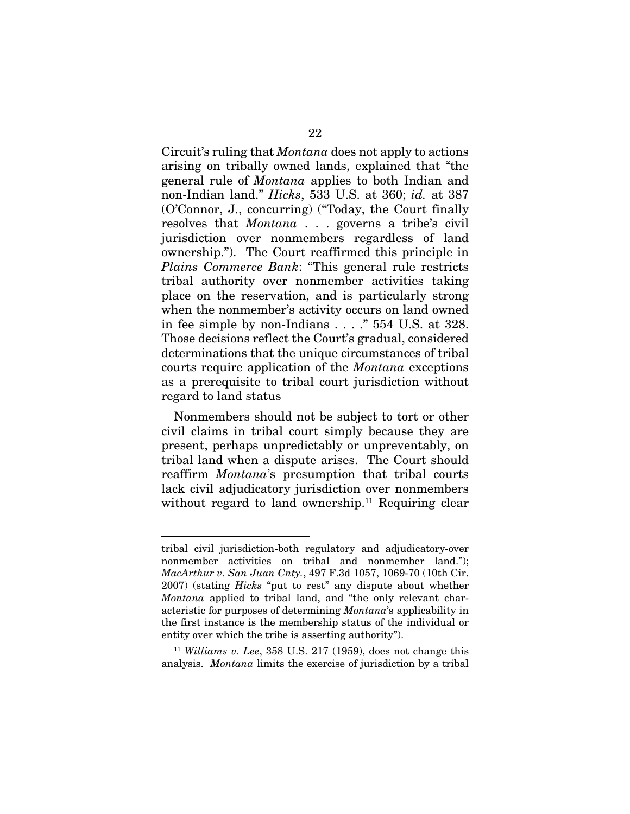Circuit's ruling that *Montana* does not apply to actions arising on tribally owned lands, explained that "the general rule of *Montana* applies to both Indian and non-Indian land." *Hicks*, 533 U.S. at 360; *id.* at 387 (O'Connor, J., concurring) ("Today, the Court finally resolves that *Montana* . . . governs a tribe's civil jurisdiction over nonmembers regardless of land ownership."). The Court reaffirmed this principle in *Plains Commerce Bank*: "This general rule restricts tribal authority over nonmember activities taking place on the reservation, and is particularly strong when the nonmember's activity occurs on land owned in fee simple by non-Indians . . . ." 554 U.S. at 328. Those decisions reflect the Court's gradual, considered determinations that the unique circumstances of tribal courts require application of the *Montana* exceptions as a prerequisite to tribal court jurisdiction without regard to land status

Nonmembers should not be subject to tort or other civil claims in tribal court simply because they are present, perhaps unpredictably or unpreventably, on tribal land when a dispute arises. The Court should reaffirm *Montana*'s presumption that tribal courts lack civil adjudicatory jurisdiction over nonmembers without regard to land ownership.<sup>11</sup> Requiring clear

tribal civil jurisdiction-both regulatory and adjudicatory-over nonmember activities on tribal and nonmember land."); *MacArthur v. San Juan Cnty.*, 497 F.3d 1057, 1069-70 (10th Cir. 2007) (stating *Hicks* "put to rest" any dispute about whether *Montana* applied to tribal land, and "the only relevant characteristic for purposes of determining *Montana*'s applicability in the first instance is the membership status of the individual or entity over which the tribe is asserting authority").

<sup>11</sup> *Williams v. Lee*, 358 U.S. 217 (1959), does not change this analysis. *Montana* limits the exercise of jurisdiction by a tribal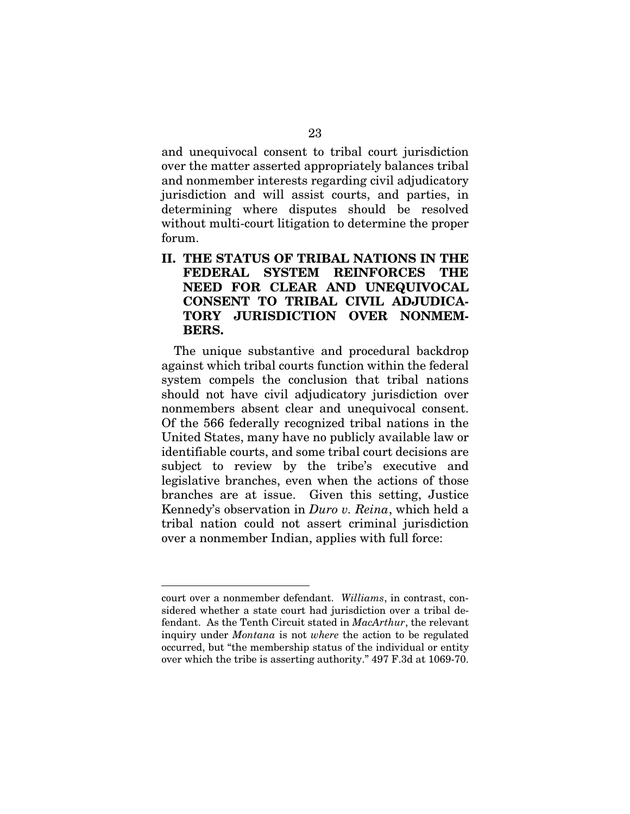and unequivocal consent to tribal court jurisdiction over the matter asserted appropriately balances tribal and nonmember interests regarding civil adjudicatory jurisdiction and will assist courts, and parties, in determining where disputes should be resolved without multi-court litigation to determine the proper forum.

### II. THE STATUS OF TRIBAL NATIONS IN THE FEDERAL SYSTEM REINFORCES THE NEED FOR CLEAR AND UNEQUIVOCAL CONSENT TO TRIBAL CIVIL ADJUDICA-TORY JURISDICTION OVER NONMEM-BERS.

The unique substantive and procedural backdrop against which tribal courts function within the federal system compels the conclusion that tribal nations should not have civil adjudicatory jurisdiction over nonmembers absent clear and unequivocal consent. Of the 566 federally recognized tribal nations in the United States, many have no publicly available law or identifiable courts, and some tribal court decisions are subject to review by the tribe's executive and legislative branches, even when the actions of those branches are at issue. Given this setting, Justice Kennedy's observation in *Duro v. Reina*, which held a tribal nation could not assert criminal jurisdiction over a nonmember Indian, applies with full force:

court over a nonmember defendant. *Williams*, in contrast, considered whether a state court had jurisdiction over a tribal defendant. As the Tenth Circuit stated in *MacArthur*, the relevant inquiry under *Montana* is not *where* the action to be regulated occurred, but "the membership status of the individual or entity over which the tribe is asserting authority." 497 F.3d at 1069-70.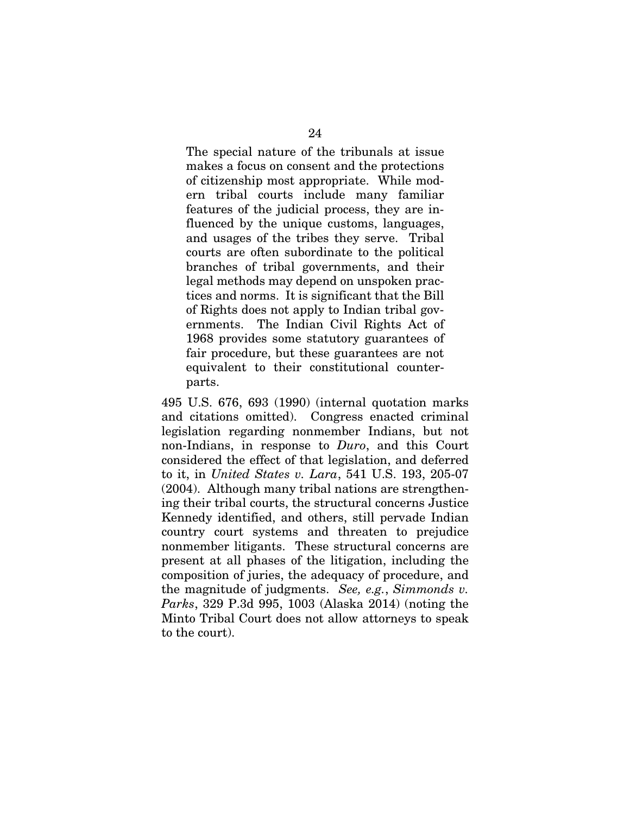The special nature of the tribunals at issue makes a focus on consent and the protections of citizenship most appropriate. While modern tribal courts include many familiar features of the judicial process, they are influenced by the unique customs, languages, and usages of the tribes they serve. Tribal courts are often subordinate to the political branches of tribal governments, and their legal methods may depend on unspoken practices and norms. It is significant that the Bill of Rights does not apply to Indian tribal governments. The Indian Civil Rights Act of 1968 provides some statutory guarantees of fair procedure, but these guarantees are not equivalent to their constitutional counterparts.

495 U.S. 676, 693 (1990) (internal quotation marks and citations omitted). Congress enacted criminal legislation regarding nonmember Indians, but not non-Indians, in response to *Duro*, and this Court considered the effect of that legislation, and deferred to it, in *United States v. Lara*, 541 U.S. 193, 205-07 (2004).Although many tribal nations are strengthening their tribal courts, the structural concerns Justice Kennedy identified, and others, still pervade Indian country court systems and threaten to prejudice nonmember litigants. These structural concerns are present at all phases of the litigation, including the composition of juries, the adequacy of procedure, and the magnitude of judgments. *See, e.g.*, *Simmonds v. Parks*, 329 P.3d 995, 1003 (Alaska 2014) (noting the Minto Tribal Court does not allow attorneys to speak to the court).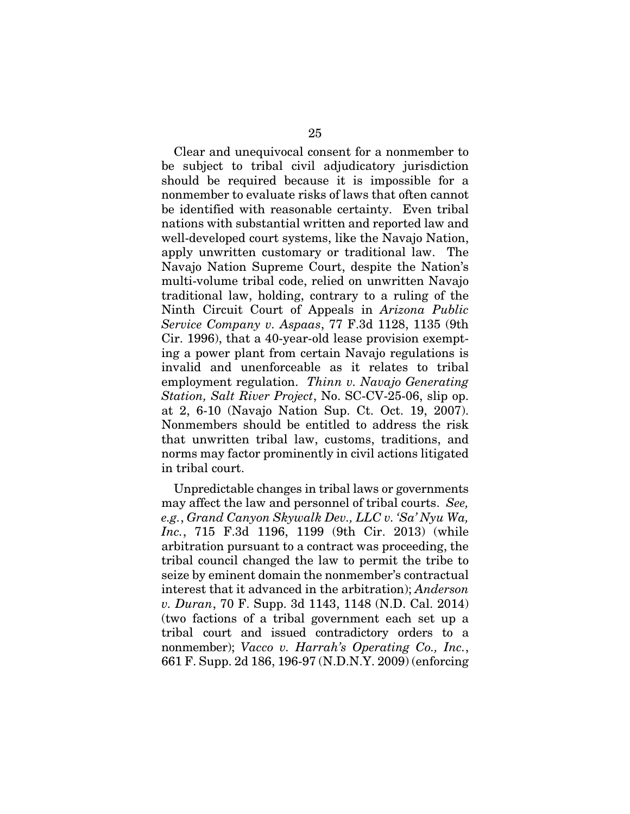Clear and unequivocal consent for a nonmember to be subject to tribal civil adjudicatory jurisdiction should be required because it is impossible for a nonmember to evaluate risks of laws that often cannot be identified with reasonable certainty. Even tribal nations with substantial written and reported law and well-developed court systems, like the Navajo Nation, apply unwritten customary or traditional law. The Navajo Nation Supreme Court, despite the Nation's multi-volume tribal code, relied on unwritten Navajo traditional law, holding, contrary to a ruling of the Ninth Circuit Court of Appeals in *Arizona Public Service Company v. Aspaas*, 77 F.3d 1128, 1135 (9th Cir. 1996), that a 40-year-old lease provision exempting a power plant from certain Navajo regulations is invalid and unenforceable as it relates to tribal employment regulation. *Thinn v. Navajo Generating Station, Salt River Project*, No. SC-CV-25-06, slip op. at 2, 6-10 (Navajo Nation Sup. Ct. Oct. 19, 2007). Nonmembers should be entitled to address the risk that unwritten tribal law, customs, traditions, and norms may factor prominently in civil actions litigated in tribal court.

Unpredictable changes in tribal laws or governments may affect the law and personnel of tribal courts. *See, e.g.*, *Grand Canyon Skywalk Dev., LLC v. 'Sa' Nyu Wa, Inc.*, 715 F.3d 1196, 1199 (9th Cir. 2013) (while arbitration pursuant to a contract was proceeding, the tribal council changed the law to permit the tribe to seize by eminent domain the nonmember's contractual interest that it advanced in the arbitration); *Anderson v. Duran*, 70 F. Supp. 3d 1143, 1148 (N.D. Cal. 2014) (two factions of a tribal government each set up a tribal court and issued contradictory orders to a nonmember); *Vacco v. Harrah's Operating Co., Inc.*, 661 F. Supp. 2d 186, 196-97 (N.D.N.Y. 2009) (enforcing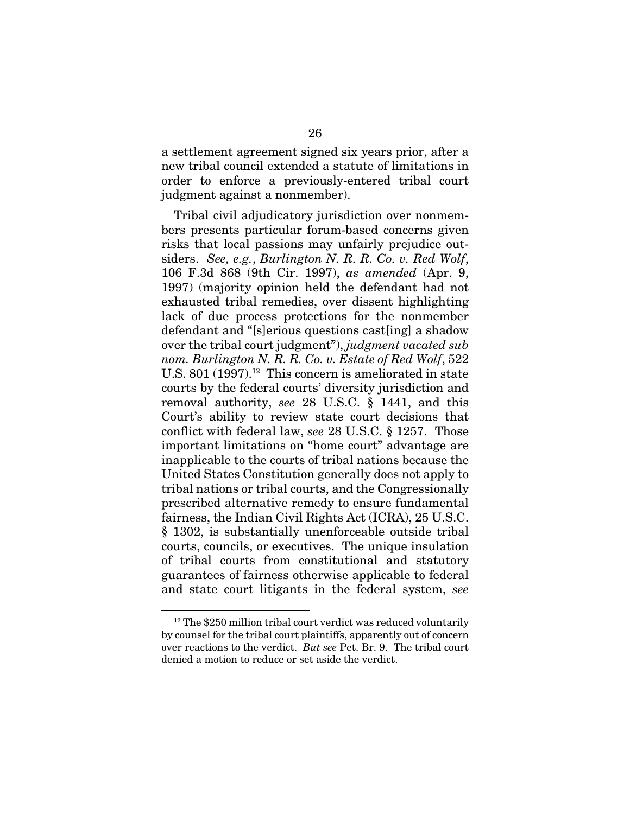a settlement agreement signed six years prior, after a new tribal council extended a statute of limitations in order to enforce a previously-entered tribal court judgment against a nonmember).

Tribal civil adjudicatory jurisdiction over nonmembers presents particular forum-based concerns given risks that local passions may unfairly prejudice outsiders. *See, e.g.*, *Burlington N. R. R. Co. v. Red Wolf*, 106 F.3d 868 (9th Cir. 1997), *as amended* (Apr. 9, 1997) (majority opinion held the defendant had not exhausted tribal remedies, over dissent highlighting lack of due process protections for the nonmember defendant and "[s]erious questions cast[ing] a shadow over the tribal court judgment"), *judgment vacated sub nom. Burlington N. R. R. Co. v. Estate of Red Wolf*, 522 U.S. 801 (1997).<sup>12</sup> This concern is ameliorated in state courts by the federal courts' diversity jurisdiction and removal authority, *see* 28 U.S.C. § 1441, and this Court's ability to review state court decisions that conflict with federal law, *see* 28 U.S.C. § 1257. Those important limitations on "home court" advantage are inapplicable to the courts of tribal nations because the United States Constitution generally does not apply to tribal nations or tribal courts, and the Congressionally prescribed alternative remedy to ensure fundamental fairness, the Indian Civil Rights Act (ICRA), 25 U.S.C. § 1302, is substantially unenforceable outside tribal courts, councils, or executives. The unique insulation of tribal courts from constitutional and statutory guarantees of fairness otherwise applicable to federal and state court litigants in the federal system, *see* 

<sup>&</sup>lt;sup>12</sup> The \$250 million tribal court verdict was reduced voluntarily by counsel for the tribal court plaintiffs, apparently out of concern over reactions to the verdict. *But see* Pet. Br. 9. The tribal court denied a motion to reduce or set aside the verdict.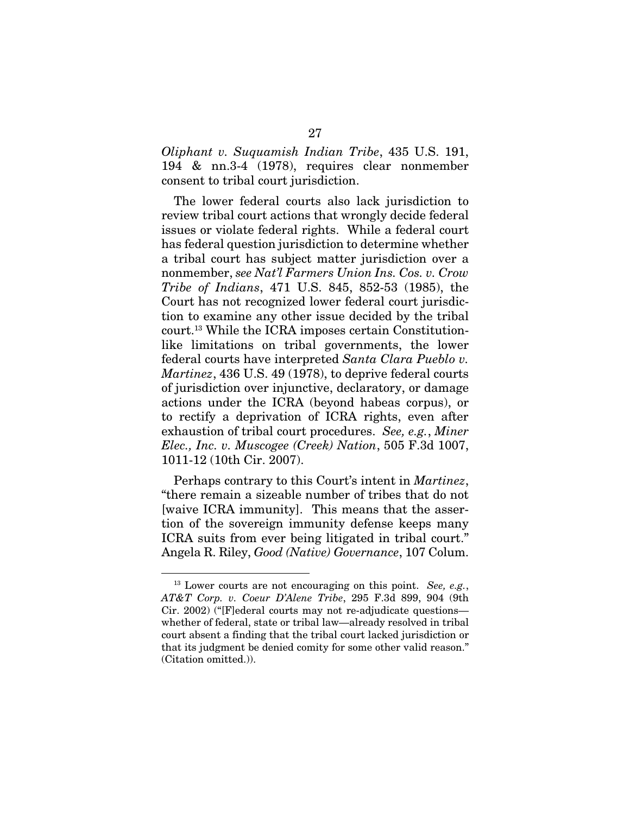*Oliphant v. Suquamish Indian Tribe*, 435 U.S. 191, 194 & nn.3-4 (1978), requires clear nonmember consent to tribal court jurisdiction.

The lower federal courts also lack jurisdiction to review tribal court actions that wrongly decide federal issues or violate federal rights. While a federal court has federal question jurisdiction to determine whether a tribal court has subject matter jurisdiction over a nonmember, *see Nat'l Farmers Union Ins. Cos. v. Crow Tribe of Indians*, 471 U.S. 845, 852-53 (1985), the Court has not recognized lower federal court jurisdiction to examine any other issue decided by the tribal court.13 While the ICRA imposes certain Constitutionlike limitations on tribal governments, the lower federal courts have interpreted *Santa Clara Pueblo v. Martinez*, 436 U.S. 49 (1978), to deprive federal courts of jurisdiction over injunctive, declaratory, or damage actions under the ICRA (beyond habeas corpus), or to rectify a deprivation of ICRA rights, even after exhaustion of tribal court procedures. *See, e.g.*, *Miner Elec., Inc. v. Muscogee (Creek) Nation*, 505 F.3d 1007, 1011-12 (10th Cir. 2007).

Perhaps contrary to this Court's intent in *Martinez*, "there remain a sizeable number of tribes that do not [waive ICRA immunity]. This means that the assertion of the sovereign immunity defense keeps many ICRA suits from ever being litigated in tribal court." Angela R. Riley, *Good (Native) Governance*, 107 Colum.

<sup>13</sup> Lower courts are not encouraging on this point. *See, e.g.*, *AT&T Corp. v. Coeur D'Alene Tribe*, 295 F.3d 899, 904 (9th Cir. 2002) ("[F]ederal courts may not re-adjudicate questions whether of federal, state or tribal law—already resolved in tribal court absent a finding that the tribal court lacked jurisdiction or that its judgment be denied comity for some other valid reason." (Citation omitted.)).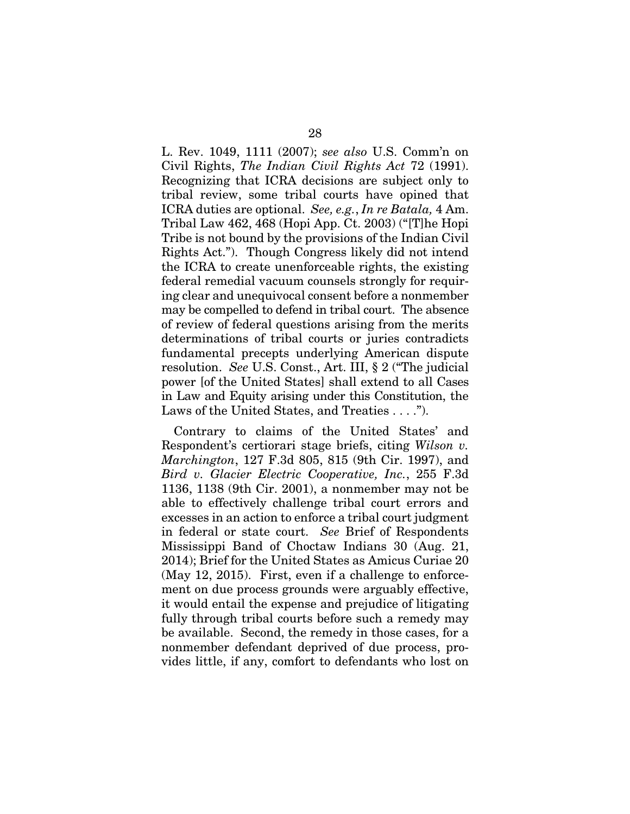L. Rev. 1049, 1111 (2007); *see also* U.S. Comm'n on Civil Rights, *The Indian Civil Rights Act* 72 (1991). Recognizing that ICRA decisions are subject only to tribal review, some tribal courts have opined that ICRA duties are optional. *See, e.g.*, *In re Batala,* 4 Am. Tribal Law 462, 468 (Hopi App. Ct. 2003) ("[T]he Hopi Tribe is not bound by the provisions of the Indian Civil Rights Act."). Though Congress likely did not intend the ICRA to create unenforceable rights, the existing federal remedial vacuum counsels strongly for requiring clear and unequivocal consent before a nonmember may be compelled to defend in tribal court. The absence of review of federal questions arising from the merits determinations of tribal courts or juries contradicts fundamental precepts underlying American dispute resolution. *See* U.S. Const., Art. III, § 2 ("The judicial power [of the United States] shall extend to all Cases in Law and Equity arising under this Constitution, the Laws of the United States, and Treaties . . . .").

Contrary to claims of the United States' and Respondent's certiorari stage briefs, citing *Wilson v. Marchington*, 127 F.3d 805, 815 (9th Cir. 1997), and *Bird v. Glacier Electric Cooperative, Inc.*, 255 F.3d 1136, 1138 (9th Cir. 2001), a nonmember may not be able to effectively challenge tribal court errors and excesses in an action to enforce a tribal court judgment in federal or state court. *See* Brief of Respondents Mississippi Band of Choctaw Indians 30 (Aug. 21, 2014); Brief for the United States as Amicus Curiae 20 (May 12, 2015). First, even if a challenge to enforcement on due process grounds were arguably effective, it would entail the expense and prejudice of litigating fully through tribal courts before such a remedy may be available. Second, the remedy in those cases, for a nonmember defendant deprived of due process, provides little, if any, comfort to defendants who lost on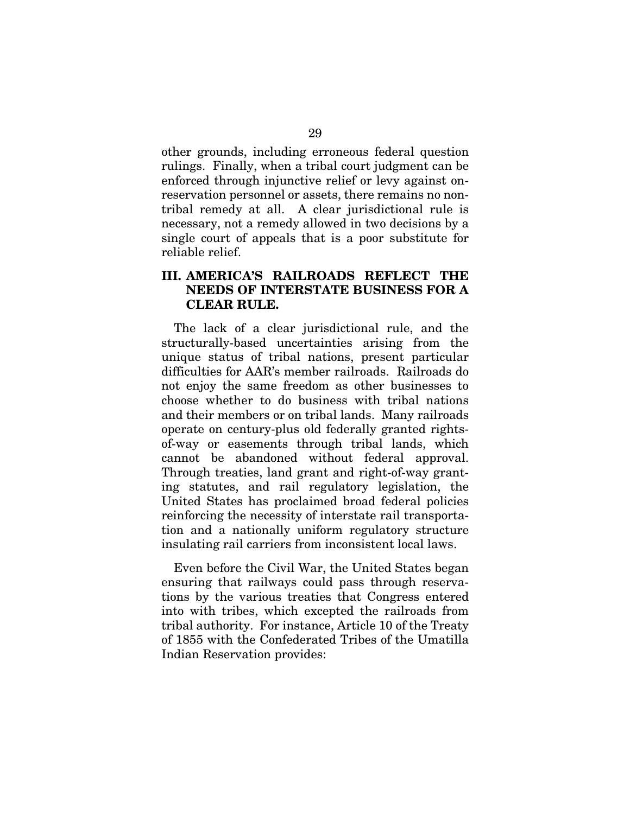other grounds, including erroneous federal question rulings. Finally, when a tribal court judgment can be enforced through injunctive relief or levy against onreservation personnel or assets, there remains no nontribal remedy at all. A clear jurisdictional rule is necessary, not a remedy allowed in two decisions by a single court of appeals that is a poor substitute for reliable relief.

### III. AMERICA'S RAILROADS REFLECT THE NEEDS OF INTERSTATE BUSINESS FOR A CLEAR RULE.

The lack of a clear jurisdictional rule, and the structurally-based uncertainties arising from the unique status of tribal nations, present particular difficulties for AAR's member railroads. Railroads do not enjoy the same freedom as other businesses to choose whether to do business with tribal nations and their members or on tribal lands. Many railroads operate on century-plus old federally granted rightsof-way or easements through tribal lands, which cannot be abandoned without federal approval. Through treaties, land grant and right-of-way granting statutes, and rail regulatory legislation, the United States has proclaimed broad federal policies reinforcing the necessity of interstate rail transportation and a nationally uniform regulatory structure insulating rail carriers from inconsistent local laws.

Even before the Civil War, the United States began ensuring that railways could pass through reservations by the various treaties that Congress entered into with tribes, which excepted the railroads from tribal authority. For instance, Article 10 of the Treaty of 1855 with the Confederated Tribes of the Umatilla Indian Reservation provides: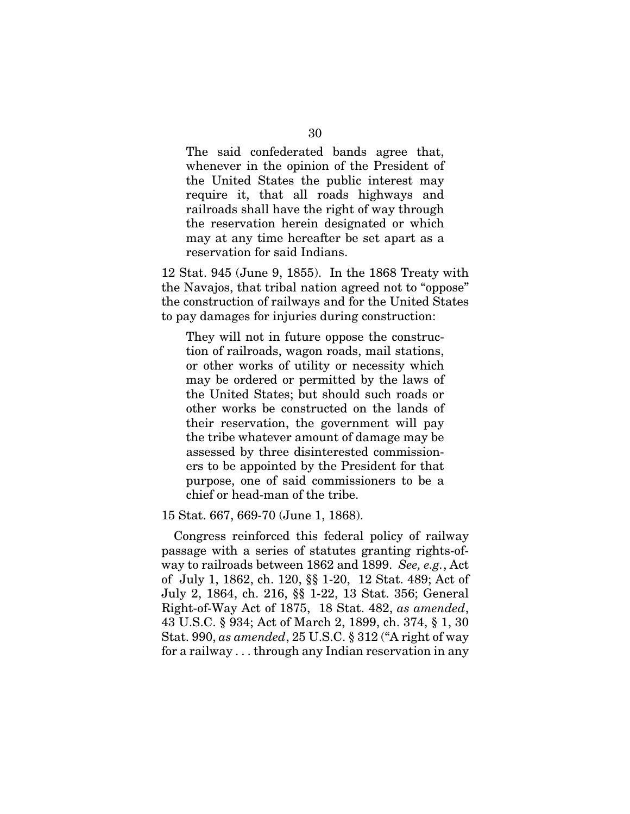The said confederated bands agree that, whenever in the opinion of the President of the United States the public interest may require it, that all roads highways and railroads shall have the right of way through the reservation herein designated or which may at any time hereafter be set apart as a reservation for said Indians.

12 Stat. 945 (June 9, 1855). In the 1868 Treaty with the Navajos, that tribal nation agreed not to "oppose" the construction of railways and for the United States to pay damages for injuries during construction:

They will not in future oppose the construction of railroads, wagon roads, mail stations, or other works of utility or necessity which may be ordered or permitted by the laws of the United States; but should such roads or other works be constructed on the lands of their reservation, the government will pay the tribe whatever amount of damage may be assessed by three disinterested commissioners to be appointed by the President for that purpose, one of said commissioners to be a chief or head-man of the tribe.

15 Stat. 667, 669-70 (June 1, 1868).

Congress reinforced this federal policy of railway passage with a series of statutes granting rights-ofway to railroads between 1862 and 1899. *See, e.g.*, Act of July 1, 1862, ch. 120, §§ 1-20, 12 Stat. 489; Act of July 2, 1864, ch. 216, §§ 1-22, 13 Stat. 356; General Right-of-Way Act of 1875, 18 Stat. 482, *as amended*, 43 U.S.C. § 934; Act of March 2, 1899, ch. 374, § 1, 30 Stat. 990, *as amended*, 25 U.S.C. § 312 ("A right of way for a railway . . . through any Indian reservation in any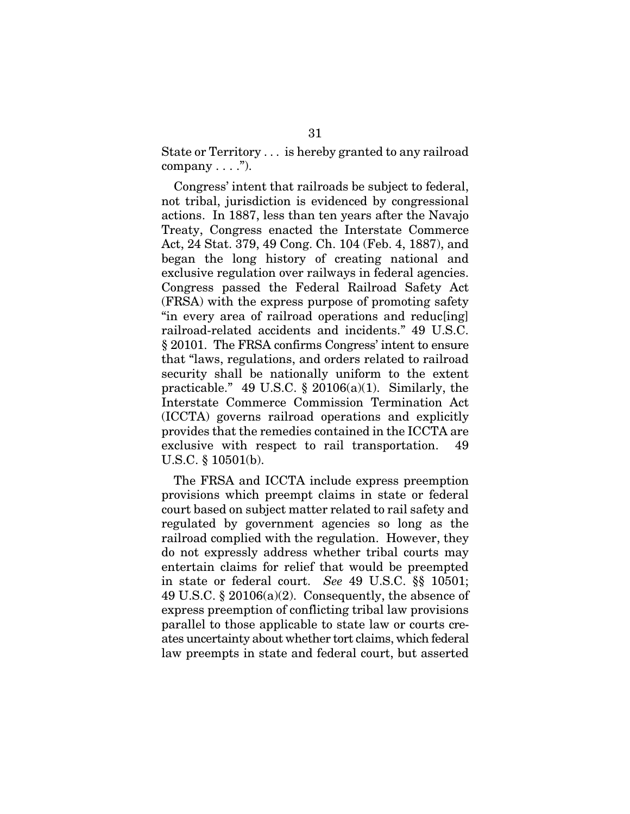State or Territory . . . is hereby granted to any railroad company  $\dots$ .").

Congress' intent that railroads be subject to federal, not tribal, jurisdiction is evidenced by congressional actions. In 1887, less than ten years after the Navajo Treaty, Congress enacted the Interstate Commerce Act, 24 Stat. 379, 49 Cong. Ch. 104 (Feb. 4, 1887), and began the long history of creating national and exclusive regulation over railways in federal agencies. Congress passed the Federal Railroad Safety Act (FRSA) with the express purpose of promoting safety "in every area of railroad operations and reduc[ing] railroad-related accidents and incidents." 49 U.S.C. § 20101. The FRSA confirms Congress' intent to ensure that "laws, regulations, and orders related to railroad security shall be nationally uniform to the extent practicable." 49 U.S.C.  $\S$  20106(a)(1). Similarly, the Interstate Commerce Commission Termination Act (ICCTA) governs railroad operations and explicitly provides that the remedies contained in the ICCTA are exclusive with respect to rail transportation. 49 U.S.C. § 10501(b).

The FRSA and ICCTA include express preemption provisions which preempt claims in state or federal court based on subject matter related to rail safety and regulated by government agencies so long as the railroad complied with the regulation. However, they do not expressly address whether tribal courts may entertain claims for relief that would be preempted in state or federal court. *See* 49 U.S.C. §§ 10501; 49 U.S.C.  $\S 20106(a)(2)$ . Consequently, the absence of express preemption of conflicting tribal law provisions parallel to those applicable to state law or courts creates uncertainty about whether tort claims, which federal law preempts in state and federal court, but asserted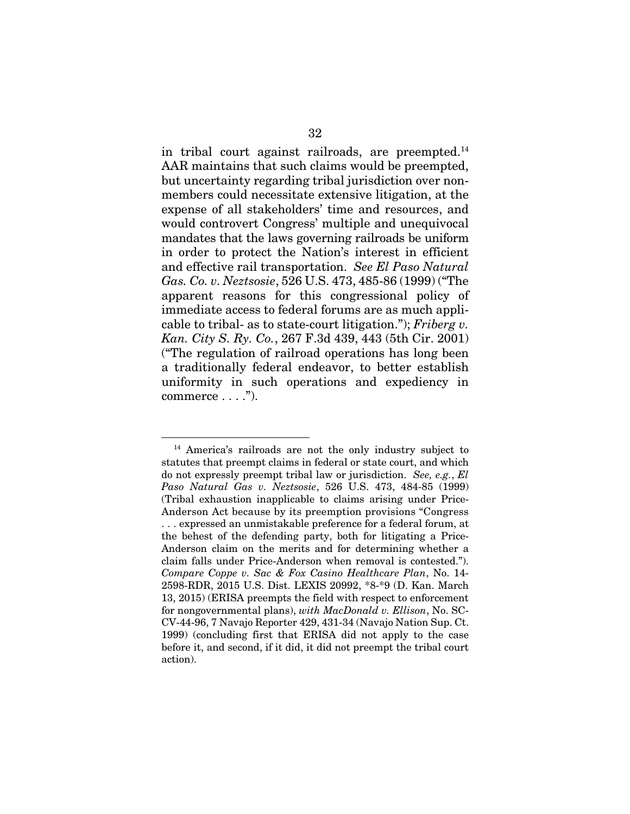in tribal court against railroads, are preempted.14 AAR maintains that such claims would be preempted, but uncertainty regarding tribal jurisdiction over nonmembers could necessitate extensive litigation, at the expense of all stakeholders' time and resources, and would controvert Congress' multiple and unequivocal mandates that the laws governing railroads be uniform in order to protect the Nation's interest in efficient and effective rail transportation. *See El Paso Natural Gas. Co. v. Neztsosie*, 526 U.S. 473, 485-86 (1999) ("The apparent reasons for this congressional policy of immediate access to federal forums are as much applicable to tribal- as to state-court litigation."); *Friberg v. Kan. City S. Ry. Co.*, 267 F.3d 439, 443 (5th Cir. 2001) ("The regulation of railroad operations has long been a traditionally federal endeavor, to better establish uniformity in such operations and expediency in commerce  $\dots$ .").

<sup>14</sup> America's railroads are not the only industry subject to statutes that preempt claims in federal or state court, and which do not expressly preempt tribal law or jurisdiction. *See, e.g.*, *El Paso Natural Gas v. Neztsosie*, 526 U.S. 473, 484-85 (1999) (Tribal exhaustion inapplicable to claims arising under Price-Anderson Act because by its preemption provisions "Congress . . . expressed an unmistakable preference for a federal forum, at the behest of the defending party, both for litigating a Price-Anderson claim on the merits and for determining whether a claim falls under Price-Anderson when removal is contested."). *Compare Coppe v. Sac & Fox Casino Healthcare Plan*, No. 14- 2598-RDR, 2015 U.S. Dist. LEXIS 20992, \*8-\*9 (D. Kan. March 13, 2015) (ERISA preempts the field with respect to enforcement for nongovernmental plans), *with MacDonald v. Ellison*, No. SC-CV-44-96, 7 Navajo Reporter 429, 431-34 (Navajo Nation Sup. Ct. 1999) (concluding first that ERISA did not apply to the case before it, and second, if it did, it did not preempt the tribal court action).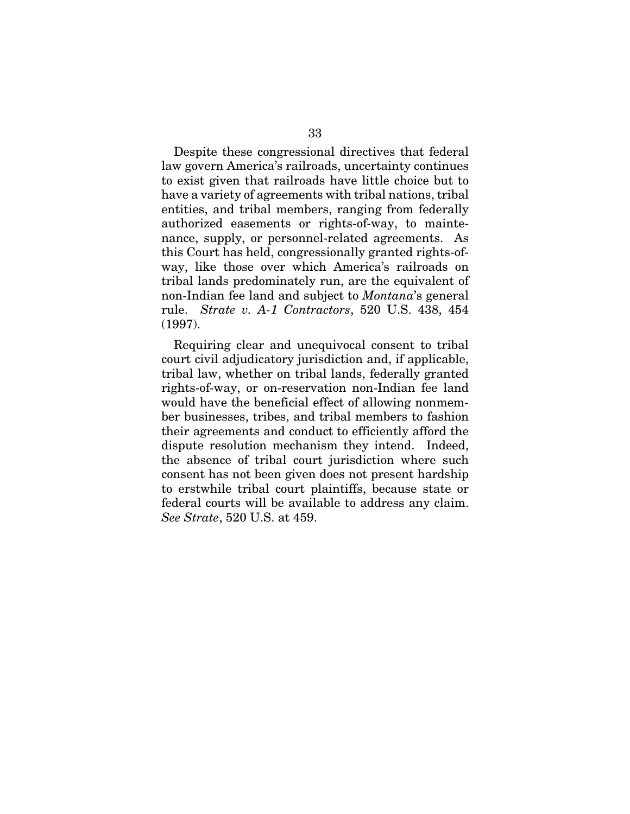Despite these congressional directives that federal law govern America's railroads, uncertainty continues to exist given that railroads have little choice but to have a variety of agreements with tribal nations, tribal entities, and tribal members, ranging from federally authorized easements or rights-of-way, to maintenance, supply, or personnel-related agreements. As this Court has held, congressionally granted rights-ofway, like those over which America's railroads on tribal lands predominately run, are the equivalent of non-Indian fee land and subject to *Montana*'s general rule. *Strate v. A-1 Contractors*, 520 U.S. 438, 454 (1997).

Requiring clear and unequivocal consent to tribal court civil adjudicatory jurisdiction and, if applicable, tribal law, whether on tribal lands, federally granted rights-of-way, or on-reservation non-Indian fee land would have the beneficial effect of allowing nonmember businesses, tribes, and tribal members to fashion their agreements and conduct to efficiently afford the dispute resolution mechanism they intend. Indeed, the absence of tribal court jurisdiction where such consent has not been given does not present hardship to erstwhile tribal court plaintiffs, because state or federal courts will be available to address any claim. *See Strate*, 520 U.S. at 459.